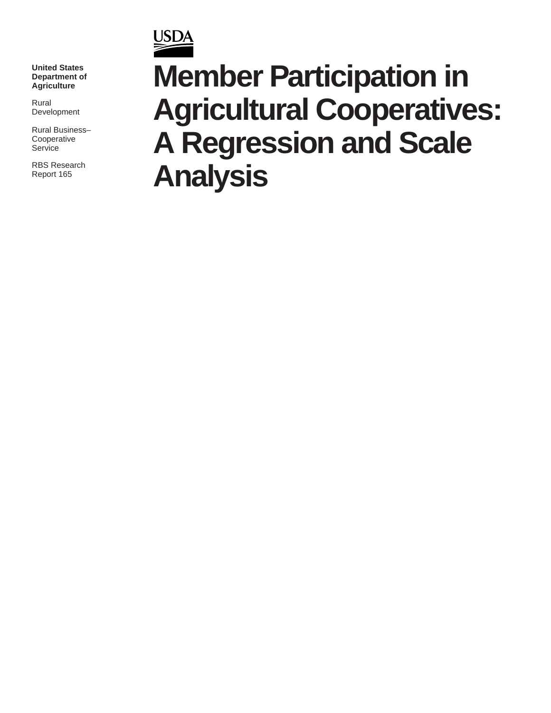**United States Department of Agriculture**

**USDA** 

Rural Development

Rural Business– Cooperative **Service** 

RBS Research Report 165

# **Member Participation in Agricultural Cooperatives: A Regression and Scale Analysis**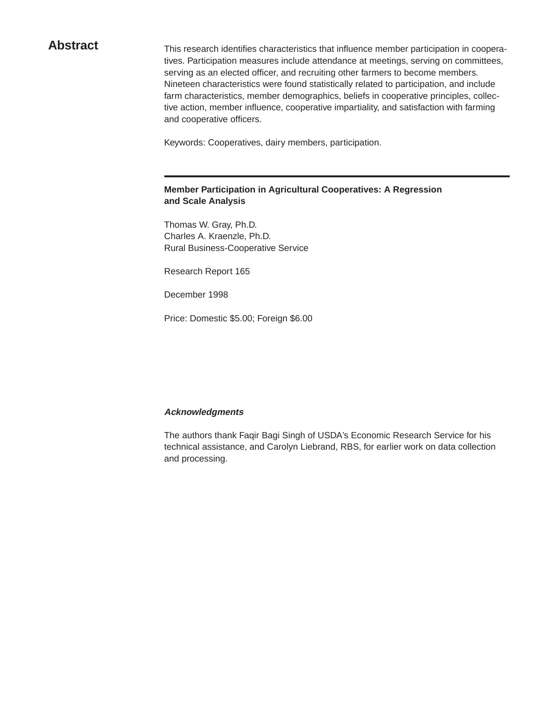Abstract This research identifies characteristics that influence member participation in cooperatives. Participation measures include attendance at meetings, serving on committees, serving as an elected officer, and recruiting other farmers to become members. Nineteen characteristics were found statistically related to participation, and include farm characteristics, member demographics, beliefs in cooperative principles, collective action, member influence, cooperative impartiality, and satisfaction with farming and cooperative officers.

Keywords: Cooperatives, dairy members, participation.

#### **Member Participation in Agricultural Cooperatives: A Regression and Scale Analysis**

Thomas W. Gray, Ph.D. Charles A. Kraenzle, Ph.D. Rural Business-Cooperative Service

Research Report 165

December 1998

Price: Domestic \$5.00; Foreign \$6.00

#### **Acknowledgments**

The authors thank Faqir Bagi Singh of USDA's Economic Research Service for his technical assistance, and Carolyn Liebrand, RBS, for earlier work on data collection and processing.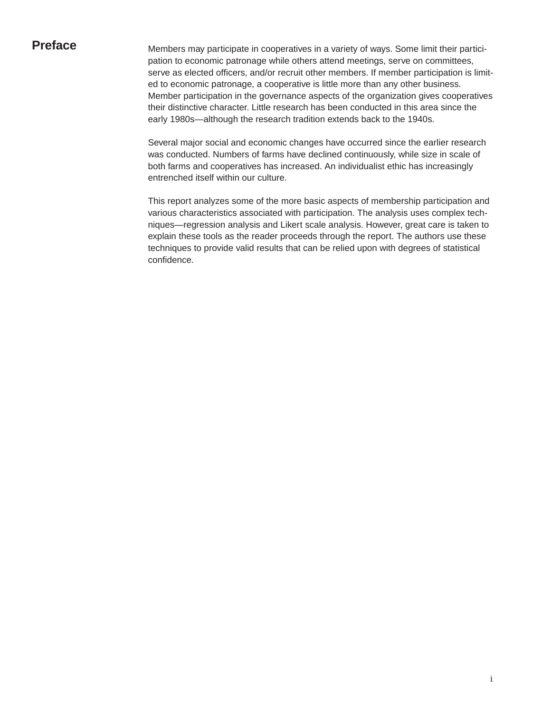**Preface** Members may participate in cooperatives in a variety of ways. Some limit their participation to economic patronage while others attend meetings, serve on committees, serve as elected officers, and/or recruit other members. If member participation is limited to economic patronage, a cooperative is little more than any other business. Member participation in the governance aspects of the organization gives cooperatives their distinctive character. Little research has been conducted in this area since the early 1980s—although the research tradition extends back to the 1940s.

> Several major social and economic changes have occurred since the earlier research was conducted. Numbers of farms have declined continuously, while size in scale of both farms and cooperatives has increased. An individualist ethic has increasingly entrenched itself within our culture.

> This report analyzes some of the more basic aspects of membership participation and various characteristics associated with participation. The analysis uses complex techniques—regression analysis and Likert scale analysis. However, great care is taken to explain these tools as the reader proceeds through the report. The authors use these techniques to provide valid results that can be relied upon with degrees of statistical confidence.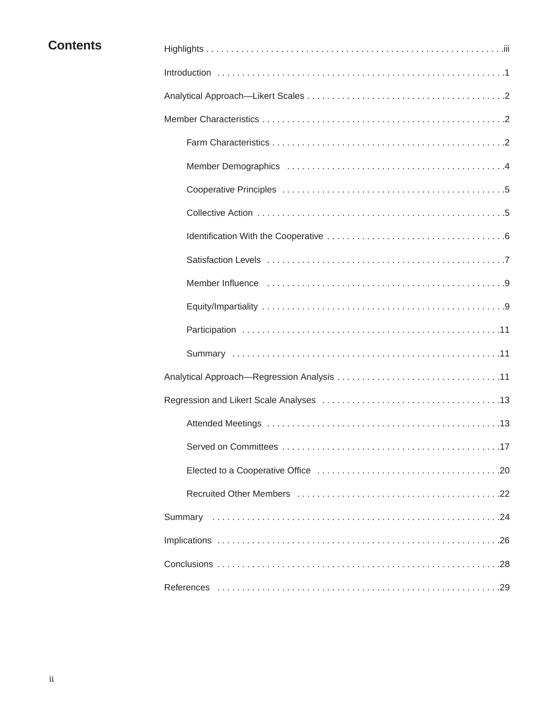| <b>Contents</b> |  |
|-----------------|--|
|-----------------|--|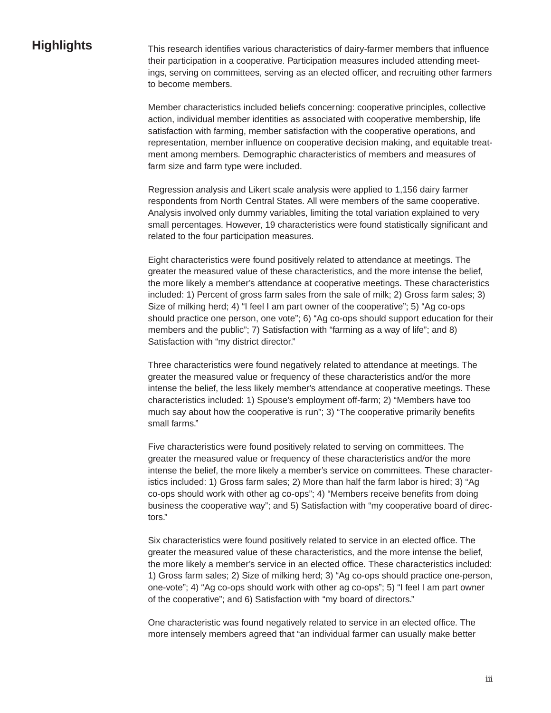**Highlights** This research identifies various characteristics of dairy-farmer members that influence their participation in a cooperative. Participation measures included attending meetings, serving on committees, serving as an elected officer, and recruiting other farmers to become members.

> Member characteristics included beliefs concerning: cooperative principles, collective action, individual member identities as associated with cooperative membership, life satisfaction with farming, member satisfaction with the cooperative operations, and representation, member influence on cooperative decision making, and equitable treatment among members. Demographic characteristics of members and measures of farm size and farm type were included.

Regression analysis and Likert scale analysis were applied to 1,156 dairy farmer respondents from North Central States. All were members of the same cooperative. Analysis involved only dummy variables, limiting the total variation explained to very small percentages. However, 19 characteristics were found statistically significant and related to the four participation measures.

Eight characteristics were found positively related to attendance at meetings. The greater the measured value of these characteristics, and the more intense the belief, the more likely a member's attendance at cooperative meetings. These characteristics included: 1) Percent of gross farm sales from the sale of milk; 2) Gross farm sales; 3) Size of milking herd; 4) "I feel I am part owner of the cooperative"; 5) "Ag co-ops should practice one person, one vote"; 6) "Ag co-ops should support education for their members and the public"; 7) Satisfaction with "farming as a way of life"; and 8) Satisfaction with "my district director."

Three characteristics were found negatively related to attendance at meetings. The greater the measured value or frequency of these characteristics and/or the more intense the belief, the less likely member's attendance at cooperative meetings. These characteristics included: 1) Spouse's employment off-farm; 2) "Members have too much say about how the cooperative is run"; 3) "The cooperative primarily benefits small farms."

Five characteristics were found positively related to serving on committees. The greater the measured value or frequency of these characteristics and/or the more intense the belief, the more likely a member's service on committees. These characteristics included: 1) Gross farm sales; 2) More than half the farm labor is hired; 3) "Ag co-ops should work with other ag co-ops"; 4) "Members receive benefits from doing business the cooperative way"; and 5) Satisfaction with "my cooperative board of directors."

Six characteristics were found positively related to service in an elected office. The greater the measured value of these characteristics, and the more intense the belief, the more likely a member's service in an elected office. These characteristics included: 1) Gross farm sales; 2) Size of milking herd; 3) "Ag co-ops should practice one-person, one-vote"; 4) "Ag co-ops should work with other ag co-ops"; 5) "I feel I am part owner of the cooperative"; and 6) Satisfaction with "my board of directors."

One characteristic was found negatively related to service in an elected office. The more intensely members agreed that "an individual farmer can usually make better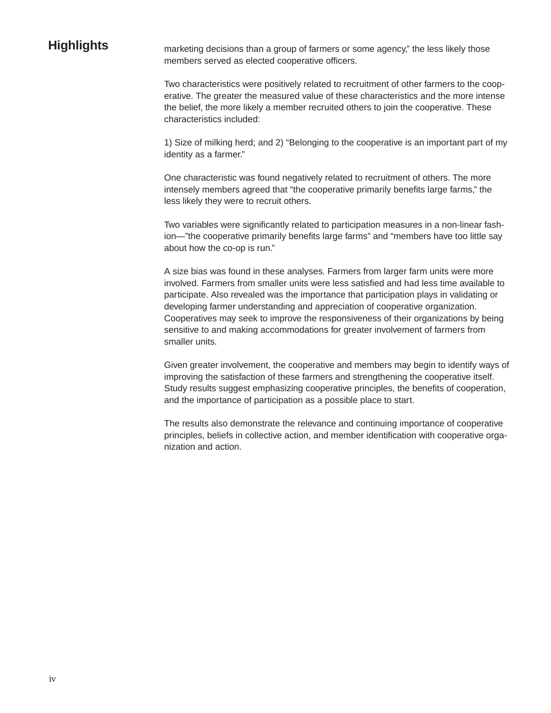**Highlights** marketing decisions than a group of farmers or some agency," the less likely those members served as elected cooperative officers.

> Two characteristics were positively related to recruitment of other farmers to the cooperative. The greater the measured value of these characteristics and the more intense the belief, the more likely a member recruited others to join the cooperative. These characteristics included:

> 1) Size of milking herd; and 2) "Belonging to the cooperative is an important part of my identity as a farmer."

One characteristic was found negatively related to recruitment of others. The more intensely members agreed that "the cooperative primarily benefits large farms," the less likely they were to recruit others.

Two variables were significantly related to participation measures in a non-linear fashion—"the cooperative primarily benefits large farms" and "members have too little say about how the co-op is run."

A size bias was found in these analyses. Farmers from larger farm units were more involved. Farmers from smaller units were less satisfied and had less time available to participate. Also revealed was the importance that participation plays in validating or developing farmer understanding and appreciation of cooperative organization. Cooperatives may seek to improve the responsiveness of their organizations by being sensitive to and making accommodations for greater involvement of farmers from smaller units.

Given greater involvement, the cooperative and members may begin to identify ways of improving the satisfaction of these farmers and strengthening the cooperative itself. Study results suggest emphasizing cooperative principles, the benefits of cooperation, and the importance of participation as a possible place to start.

The results also demonstrate the relevance and continuing importance of cooperative principles, beliefs in collective action, and member identification with cooperative organization and action.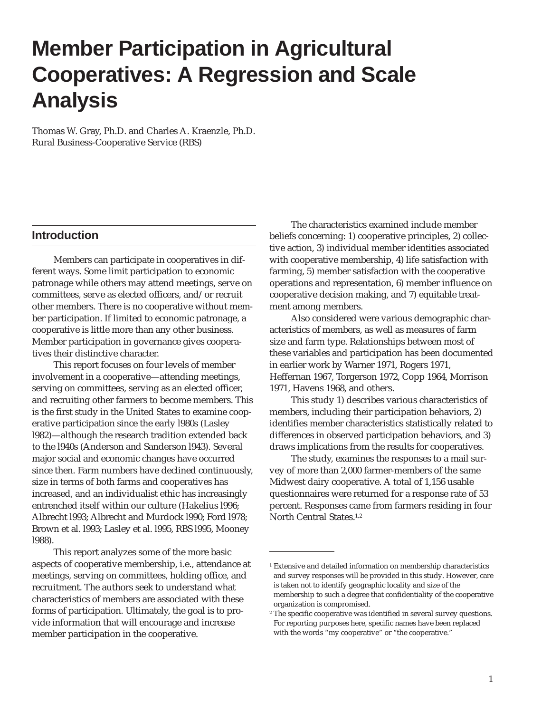## **Member Participation in Agricultural Cooperatives: A Regression and Scale Analysis**

Thomas W. Gray, Ph.D. and Charles A. Kraenzle, Ph.D. Rural Business-Cooperative Service (RBS)

#### **Introduction**

Members can participate in cooperatives in different ways. Some limit participation to economic patronage while others may attend meetings, serve on committees, serve as elected officers, and/or recruit other members. There is no cooperative without member participation. If limited to economic patronage, a cooperative is little more than any other business. Member participation in governance gives cooperatives their distinctive character.

This report focuses on four levels of member involvement in a cooperative—attending meetings, serving on committees, serving as an elected officer, and recruiting other farmers to become members. This is the first study in the United States to examine cooperative participation since the early l980s (Lasley l982)—although the research tradition extended back to the l940s (Anderson and Sanderson l943). Several major social and economic changes have occurred since then. Farm numbers have declined continuously, size in terms of both farms and cooperatives has increased, and an individualist ethic has increasingly entrenched itself within our culture (Hakelius l996; Albrecht l993; Albrecht and Murdock l990; Ford l978; Brown et al. l993; Lasley et al. l995, RBS l995, Mooney l988).

This report analyzes some of the more basic aspects of cooperative membership, i.e., attendance at meetings, serving on committees, holding office, and recruitment. The authors seek to understand what characteristics of members are associated with these forms of participation. Ultimately, the goal is to provide information that will encourage and increase member participation in the cooperative.

The characteristics examined include member beliefs concerning: 1) cooperative principles, 2) collective action, 3) individual member identities associated with cooperative membership, 4) life satisfaction with farming, 5) member satisfaction with the cooperative operations and representation, 6) member influence on cooperative decision making, and 7) equitable treatment among members.

Also considered were various demographic characteristics of members, as well as measures of farm size and farm type. Relationships between most of these variables and participation has been documented in earlier work by Warner 1971, Rogers 1971, Heffernan 1967, Torgerson 1972, Copp 1964, Morrison 1971, Havens 1968, and others.

This study 1) describes various characteristics of members, including their participation behaviors, 2) identifies member characteristics statistically related to differences in observed participation behaviors, and 3) draws implications from the results for cooperatives.

The study, examines the responses to a mail survey of more than 2,000 farmer-members of the same Midwest dairy cooperative. A total of 1,156 usable questionnaires were returned for a response rate of 53 percent. Responses came from farmers residing in four North Central States.<sup>1,2</sup>

<sup>&</sup>lt;sup>1</sup> Extensive and detailed information on membership characteristics and survey responses will be provided in this study. However, care is taken not to identify geographic locality and size of the membership to such a degree that confidentiality of the cooperative organization is compromised.

<sup>&</sup>lt;sup>2</sup> The specific cooperative was identified in several survey questions. For reporting purposes here, specific names have been replaced with the words "my cooperative" or "the cooperative."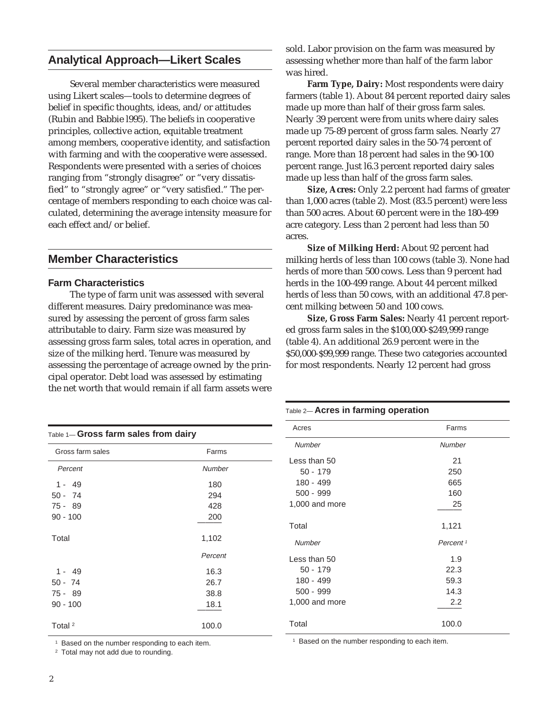### **Analytical Approach—Likert Scales**

Several member characteristics were measured using Likert scales—tools to determine degrees of belief in specific thoughts, ideas, and/or attitudes (Rubin and Babbie l995). The beliefs in cooperative principles, collective action, equitable treatment among members, cooperative identity, and satisfaction with farming and with the cooperative were assessed. Respondents were presented with a series of choices ranging from "strongly disagree" or "very dissatisfied" to "strongly agree" or "very satisfied." The percentage of members responding to each choice was calculated, determining the average intensity measure for each effect and/or belief.

#### **Member Characteristics**

#### **Farm Characteristics**

The type of farm unit was assessed with several different measures. Dairy predominance was measured by assessing the percent of gross farm sales attributable to dairy. Farm size was measured by assessing gross farm sales, total acres in operation, and size of the milking herd. Tenure was measured by assessing the percentage of acreage owned by the principal operator. Debt load was assessed by estimating the net worth that would remain if all farm assets were

sold. Labor provision on the farm was measured by assessing whether more than half of the farm labor was hired.

**Farm Type, Dairy:** Most respondents were dairy farmers (table 1). About 84 percent reported dairy sales made up more than half of their gross farm sales. Nearly 39 percent were from units where dairy sales made up 75-89 percent of gross farm sales. Nearly 27 percent reported dairy sales in the 50-74 percent of range. More than 18 percent had sales in the 90-100 percent range. Just l6.3 percent reported dairy sales made up less than half of the gross farm sales.

**Size, Acres:** Only 2.2 percent had farms of greater than 1,000 acres (table 2). Most (83.5 percent) were less than 500 acres. About 60 percent were in the 180-499 acre category. Less than 2 percent had less than 50 acres.

**Size of Milking Herd:** About 92 percent had milking herds of less than 100 cows (table 3). None had herds of more than 500 cows. Less than 9 percent had herds in the 100-499 range. About 44 percent milked herds of less than 50 cows, with an additional 47.8 percent milking between 50 and 100 cows.

**Size, Gross Farm Sales:** Nearly 41 percent reported gross farm sales in the \$100,000-\$249,999 range (table 4). An additional 26.9 percent were in the \$50,000-\$99,999 range. These two categories accounted for most respondents. Nearly 12 percent had gross

### Table 1— **Gross farm sales from dairy** Gross farm sales Farms Percent Number 1 - 49 180 50 - 74 294 75 - 89 428 90 - 100 <u>200</u> Total 1,102 Percent 1 - 49 16.3 50 - 74 26.7 75 - 89 38.8  $90 - 100$  18.1 Total  $2$  100.0

<sup>1</sup> Based on the number responding to each item.

<sup>2</sup> Total may not add due to rounding.

| Table 2- Acres in farming operation |                      |
|-------------------------------------|----------------------|
| Acres                               | Farms                |
| <b>Number</b>                       | <b>Number</b>        |
| Less than 50                        | 21                   |
| $50 - 179$                          | 250                  |
| 180 - 499                           | 665                  |
| $500 - 999$                         | 160                  |
| 1,000 and more                      | 25                   |
| Total                               | 1,121                |
| Number                              | Percent <sup>1</sup> |
| Less than $50$                      | 1.9                  |
| $50 - 179$                          | 22.3                 |
| 180 - 499                           | 59.3                 |
| $500 - 999$                         | 14.3                 |
| 1,000 and more                      | 2.2                  |
| Total                               | 100.0                |

<sup>1</sup> Based on the number responding to each item.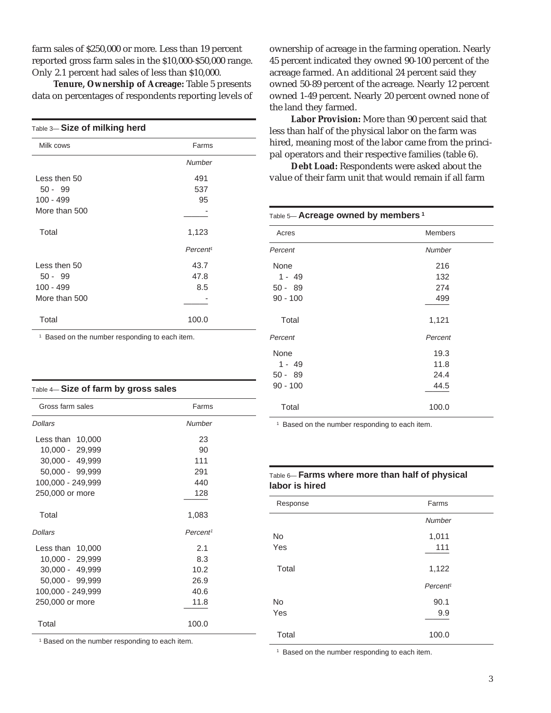farm sales of \$250,000 or more. Less than 19 percent reported gross farm sales in the \$10,000-\$50,000 range. Only 2.1 percent had sales of less than \$10,000.

**Tenure, Ownership of Acreage:** Table 5 presents data on percentages of respondents reporting levels of

| Table 3-Size of milking herd |                      |
|------------------------------|----------------------|
| Milk cows                    | Farms                |
|                              | <b>Number</b>        |
| Less then 50                 | 491                  |
| $50 - 99$                    | 537                  |
| 100 - 499                    | 95                   |
| More than 500                |                      |
| Total                        | 1,123                |
|                              | Percent <sup>1</sup> |
| Less then 50                 | 43.7                 |
| $50 - 99$                    | 47.8                 |
| 100 - 499                    | 8.5                  |
| More than 500                |                      |
| Total                        | 100.0                |

<sup>1</sup> Based on the number responding to each item.

| Table 4— Size of farm by gross sales |  |  |  |
|--------------------------------------|--|--|--|
|--------------------------------------|--|--|--|

| Gross farm sales   | Farms                |
|--------------------|----------------------|
| <b>Dollars</b>     | Number               |
| Less than 10,000   | 23                   |
| 10,000 - 29,999    | 90                   |
| 30,000 - 49,999    | 111                  |
| 50,000 - 99,999    | 291                  |
| 100,000 - 249,999  | 440                  |
| 250,000 or more    | 128                  |
| Total              | 1,083                |
| <b>Dollars</b>     | Percent <sup>1</sup> |
| Less than $10,000$ | 2.1                  |
| 10,000 - 29,999    | 8.3                  |
| 30,000 - 49,999    | 10.2                 |
| 50,000 - 99,999    | 26.9                 |
| 100,000 - 249,999  | 40.6                 |
| 250,000 or more    | 11.8                 |
| Total              | 100.0                |

<sup>1</sup> Based on the number responding to each item.

ownership of acreage in the farming operation. Nearly 45 percent indicated they owned 90-100 percent of the acreage farmed. An additional 24 percent said they owned 50-89 percent of the acreage. Nearly 12 percent owned 1-49 percent. Nearly 20 percent owned none of the land they farmed.

**Labor Provision:** More than 90 percent said that less than half of the physical labor on the farm was hired, meaning most of the labor came from the principal operators and their respective families (table 6).

**Debt Load:** Respondents were asked about the value of their farm unit that would remain if all farm

#### Table 5— **Acreage owned by members <sup>1</sup>**

| Acres      | <b>Members</b> |
|------------|----------------|
| Percent    | <b>Number</b>  |
| None       | 216            |
| $1 - 49$   | 132            |
| $50 - 89$  | 274            |
| $90 - 100$ | 499            |
| Total      | 1,121          |
| Percent    | Percent        |
| None       | 19.3           |
| $1 - 49$   | 11.8           |
| $50 - 89$  | 24.4           |
| $90 - 100$ | 44.5           |
| Total      | 100.0          |

<sup>1</sup> Based on the number responding to each item.

#### Table 6— **Farms where more than half of physical labor is hired**

| Response  | Farms                |
|-----------|----------------------|
|           | Number               |
| <b>No</b> | 1,011                |
| Yes       | 111                  |
| Total     | 1,122                |
|           | Percent <sup>1</sup> |
| No        | 90.1                 |
| Yes       | 9.9                  |
| Total     | 100.0                |

<sup>1</sup> Based on the number responding to each item.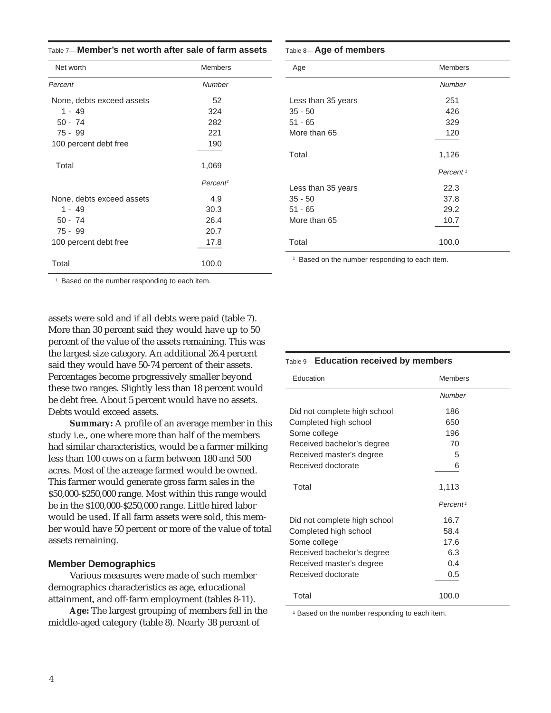| Net worth                 | <b>Members</b>       |
|---------------------------|----------------------|
| Percent                   | Number               |
| None, debts exceed assets | 52                   |
| $1 - 49$                  | 324                  |
| $50 - 74$                 | 282                  |
| $75 - 99$                 | 221                  |
| 100 percent debt free     | 190                  |
| Total                     | 1,069                |
|                           | Percent <sup>1</sup> |
| None, debts exceed assets | 4.9                  |
| $1 - 49$                  | 30.3                 |
| $50 - 74$                 | 26.4                 |
| $75 - 99$                 | 20.7                 |
| 100 percent debt free     | 17.8                 |
| Total                     | 100.0                |

#### Table 8— **Age of members**

| Age                | <b>Members</b>       |
|--------------------|----------------------|
|                    | <b>Number</b>        |
| Less than 35 years | 251                  |
| $35 - 50$          | 426                  |
| $51 - 65$          | 329                  |
| More than 65       | 120                  |
|                    |                      |
| Total              | 1,126                |
|                    | Percent <sup>1</sup> |
| Less than 35 years | 22.3                 |
| $35 - 50$          | 37.8                 |
| $51 - 65$          | 29.2                 |
| More than 65       | 10.7                 |
|                    |                      |
| Total              | 100.0                |
|                    |                      |

<sup>1</sup> Based on the number responding to each item.

<sup>1</sup> Based on the number responding to each item.

assets were sold and if all debts were paid (table 7). More than 30 percent said they would have up to 50 percent of the value of the assets remaining. This was the largest size category. An additional 26.4 percent said they would have 50-74 percent of their assets. Percentages become progressively smaller beyond these two ranges. Slightly less than 18 percent would be debt free. About 5 percent would have no assets. Debts would exceed assets.

**Summary:** A profile of an average member in this study i.e., one where more than half of the members had similar characteristics, would be a farmer milking less than 100 cows on a farm between 180 and 500 acres. Most of the acreage farmed would be owned. This farmer would generate gross farm sales in the \$50,000-\$250,000 range. Most within this range would be in the \$100,000-\$250,000 range. Little hired labor would be used. If all farm assets were sold, this member would have 50 percent or more of the value of total assets remaining.

#### **Member Demographics**

Various measures were made of such member demographics characteristics as age, educational attainment, and off-farm employment (tables 8-11).

**Age:** The largest grouping of members fell in the middle-aged category (table 8). Nearly 38 percent of

#### Table 9— **Education received by members**

| Education                    | <b>Members</b>       |
|------------------------------|----------------------|
|                              | Number               |
| Did not complete high school | 186                  |
| Completed high school        | 650                  |
| Some college                 | 196                  |
| Received bachelor's degree   | 70                   |
| Received master's degree     | 5                    |
| Received doctorate           | 6                    |
| Total                        | 1,113                |
|                              | Percent <sup>1</sup> |
| Did not complete high school | 16.7                 |
| Completed high school        | 58.4                 |
| Some college                 | 17.6                 |
| Received bachelor's degree   | 6.3                  |
| Received master's degree     | 0.4                  |
| Received doctorate           | 0.5                  |
| Total                        | 100.0                |

<sup>1</sup> Based on the number responding to each item.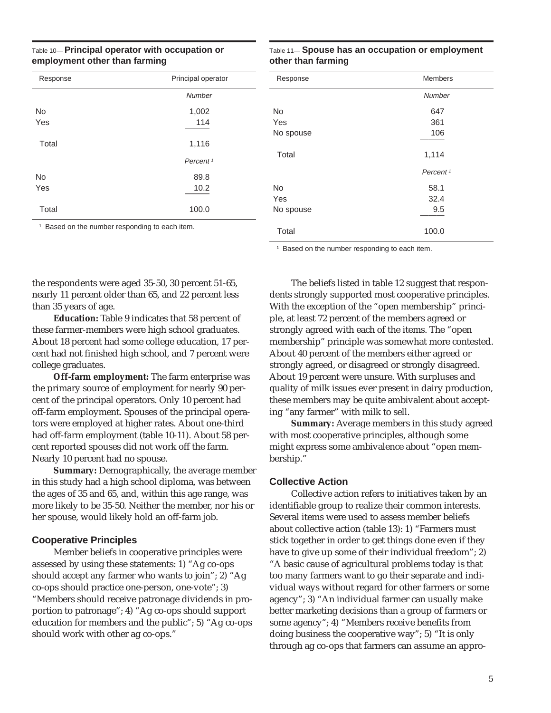#### Table 10— **Principal operator with occupation or employment other than farming**

| Response  | Principal operator   |
|-----------|----------------------|
|           | <b>Number</b>        |
| <b>No</b> | 1,002                |
| Yes       | 114                  |
| Total     | 1,116                |
|           | Percent <sup>1</sup> |
| <b>No</b> | 89.8                 |
| Yes       | 10.2                 |
| Total     | 100.0                |

#### Table 11— **Spouse has an occupation or employment other than farming**

| Response  | <b>Members</b>       |
|-----------|----------------------|
|           | <b>Number</b>        |
| <b>No</b> | 647                  |
| Yes       | 361                  |
| No spouse | 106                  |
| Total     | 1,114                |
|           | Percent <sup>1</sup> |
| <b>No</b> | 58.1                 |
| Yes       | 32.4                 |
| No spouse | 9.5                  |
|           |                      |
| Total     | 100.0                |

<sup>1</sup> Based on the number responding to each item.

<sup>1</sup> Based on the number responding to each item.

the respondents were aged 35-50, 30 percent 51-65, nearly 11 percent older than 65, and 22 percent less than 35 years of age.

**Education:** Table 9 indicates that 58 percent of these farmer-members were high school graduates. About 18 percent had some college education, 17 percent had not finished high school, and 7 percent were college graduates.

**Off-farm employment:** The farm enterprise was the primary source of employment for nearly 90 percent of the principal operators. Only 10 percent had off-farm employment. Spouses of the principal operators were employed at higher rates. About one-third had off-farm employment (table 10-11). About 58 percent reported spouses did not work off the farm. Nearly 10 percent had no spouse.

**Summary:** Demographically, the average member in this study had a high school diploma, was between the ages of 35 and 65, and, within this age range, was more likely to be 35-50. Neither the member, nor his or her spouse, would likely hold an off-farm job.

#### **Cooperative Principles**

Member beliefs in cooperative principles were assessed by using these statements: 1) "Ag co-ops should accept any farmer who wants to join"; 2) "Ag co-ops should practice one-person, one-vote"; 3) "Members should receive patronage dividends in proportion to patronage"; 4) "Ag co-ops should support education for members and the public"; 5) "Ag co-ops should work with other ag co-ops."

The beliefs listed in table 12 suggest that respondents strongly supported most cooperative principles. With the exception of the "open membership" principle, at least 72 percent of the members agreed or strongly agreed with each of the items. The "open membership" principle was somewhat more contested. About 40 percent of the members either agreed or strongly agreed, or disagreed or strongly disagreed. About 19 percent were unsure. With surpluses and quality of milk issues ever present in dairy production, these members may be quite ambivalent about accepting "any farmer" with milk to sell.

**Summary:** Average members in this study agreed with most cooperative principles, although some might express some ambivalence about "open membership."

#### **Collective Action**

Collective action refers to initiatives taken by an identifiable group to realize their common interests. Several items were used to assess member beliefs about collective action (table 13): 1) "Farmers must stick together in order to get things done even if they have to give up some of their individual freedom"; 2) "A basic cause of agricultural problems today is that too many farmers want to go their separate and individual ways without regard for other farmers or some agency"; 3) "An individual farmer can usually make better marketing decisions than a group of farmers or some agency"; 4) "Members receive benefits from doing business the cooperative way"; 5) "It is only through ag co-ops that farmers can assume an appro-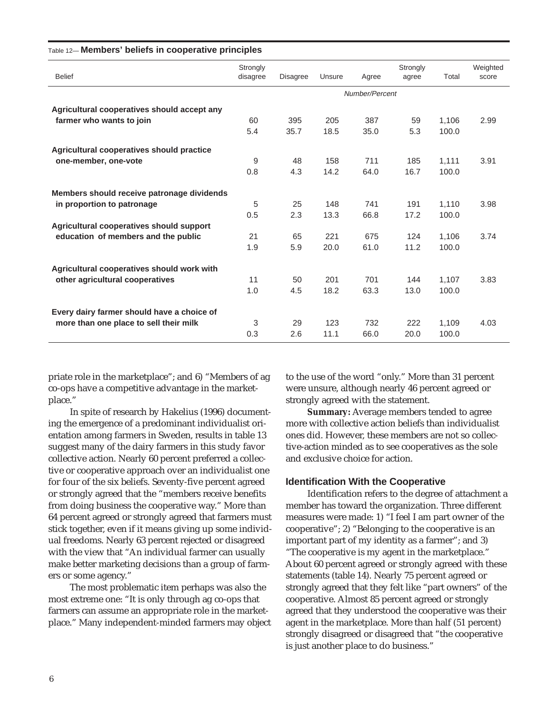| <b>Belief</b>                               | Strongly<br>disagree | <b>Disagree</b> | Unsure | Agree          | Strongly<br>agree | Total | Weighted<br>score |
|---------------------------------------------|----------------------|-----------------|--------|----------------|-------------------|-------|-------------------|
|                                             |                      |                 |        | Number/Percent |                   |       |                   |
| Agricultural cooperatives should accept any |                      |                 |        |                |                   |       |                   |
| farmer who wants to join                    | 60                   | 395             | 205    | 387            | 59                | 1,106 | 2.99              |
|                                             | 5.4                  | 35.7            | 18.5   | 35.0           | 5.3               | 100.0 |                   |
| Agricultural cooperatives should practice   |                      |                 |        |                |                   |       |                   |
| one-member, one-vote                        | 9                    | 48              | 158    | 711            | 185               | 1,111 | 3.91              |
|                                             | 0.8                  | 4.3             | 14.2   | 64.0           | 16.7              | 100.0 |                   |
| Members should receive patronage dividends  |                      |                 |        |                |                   |       |                   |
| in proportion to patronage                  | 5                    | 25              | 148    | 741            | 191               | 1,110 | 3.98              |
|                                             | 0.5                  | 2.3             | 13.3   | 66.8           | 17.2              | 100.0 |                   |
| Agricultural cooperatives should support    |                      |                 |        |                |                   |       |                   |
| education of members and the public         | 21                   | 65              | 221    | 675            | 124               | 1,106 | 3.74              |
|                                             | 1.9                  | 5.9             | 20.0   | 61.0           | 11.2              | 100.0 |                   |
| Agricultural cooperatives should work with  |                      |                 |        |                |                   |       |                   |
| other agricultural cooperatives             | 11                   | 50              | 201    | 701            | 144               | 1,107 | 3.83              |
|                                             | 1.0                  | 4.5             | 18.2   | 63.3           | 13.0              | 100.0 |                   |
| Every dairy farmer should have a choice of  |                      |                 |        |                |                   |       |                   |
| more than one place to sell their milk      | 3                    | 29              | 123    | 732            | 222               | 1,109 | 4.03              |
|                                             | 0.3                  | 2.6             | 11.1   | 66.0           | 20.0              | 100.0 |                   |
|                                             |                      |                 |        |                |                   |       |                   |

#### Table 12— **Members' beliefs in cooperative principles**

priate role in the marketplace"; and 6) "Members of ag co-ops have a competitive advantage in the marketplace."

In spite of research by Hakelius (1996) documenting the emergence of a predominant individualist orientation among farmers in Sweden, results in table 13 suggest many of the dairy farmers in this study favor collective action. Nearly 60 percent preferred a collective or cooperative approach over an individualist one for four of the six beliefs. Seventy-five percent agreed or strongly agreed that the "members receive benefits from doing business the cooperative way." More than 64 percent agreed or strongly agreed that farmers must stick together, even if it means giving up some individual freedoms. Nearly 63 percent rejected or disagreed with the view that "An individual farmer can usually make better marketing decisions than a group of farmers or some agency."

The most problematic item perhaps was also the most extreme one: "It is only through ag co-ops that farmers can assume an appropriate role in the marketplace." Many independent-minded farmers may object to the use of the word "only." More than 31 percent were unsure, although nearly 46 percent agreed or strongly agreed with the statement.

**Summary:** Average members tended to agree more with collective action beliefs than individualist ones did. However, these members are not so collective-action minded as to see cooperatives as the sole and exclusive choice for action.

#### **Identification With the Cooperative**

Identification refers to the degree of attachment a member has toward the organization. Three different measures were made: 1) "I feel I am part owner of the cooperative"; 2) "Belonging to the cooperative is an important part of my identity as a farmer"; and 3) "The cooperative is my agent in the marketplace." About 60 percent agreed or strongly agreed with these statements (table 14). Nearly 75 percent agreed or strongly agreed that they felt like "part owners" of the cooperative. Almost 85 percent agreed or strongly agreed that they understood the cooperative was their agent in the marketplace. More than half (51 percent) strongly disagreed or disagreed that "the cooperative is just another place to do business."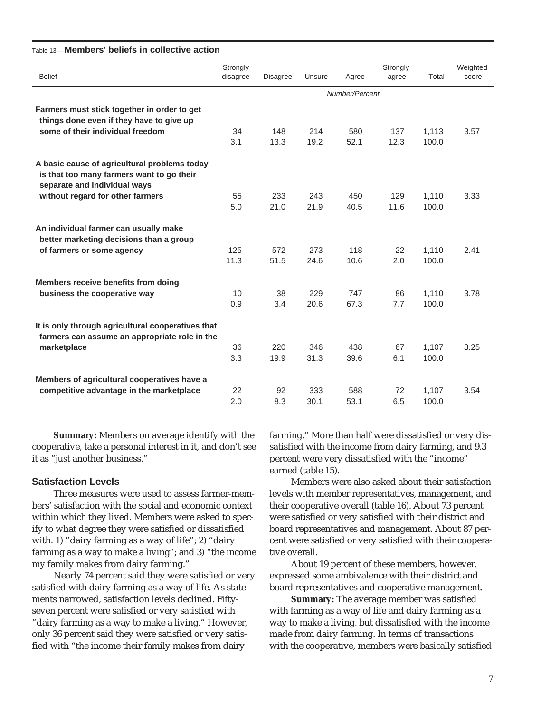| Strongly<br>Strongly<br>Weighted<br><b>Belief</b><br><b>Disagree</b><br>Total<br>disagree<br>Unsure<br>Agree<br>agree<br>score<br>Number/Percent<br>Farmers must stick together in order to get<br>things done even if they have to give up<br>some of their individual freedom<br>34<br>148<br>214<br>580<br>137<br>1,113<br>3.57<br>3.1<br>13.3<br>19.2<br>52.1<br>12.3<br>100.0<br>is that too many farmers want to go their<br>separate and individual ways<br>without regard for other farmers<br>129<br>55<br>233<br>243<br>450<br>1,110<br>3.33<br>21.0<br>21.9<br>11.6<br>5.0<br>40.5<br>100.0<br>better marketing decisions than a group<br>125<br>572<br>273<br>118<br>of farmers or some agency<br>22<br>1,110<br>2.41<br>11.3<br>51.5<br>24.6<br>10.6<br>2.0<br>100.0<br>Members receive benefits from doing<br>10<br>229<br>747<br>38<br>86<br>1,110<br>3.78<br>business the cooperative way<br>7.7<br>0.9<br>3.4<br>20.6<br>67.3<br>100.0<br>It is only through agricultural cooperatives that<br>farmers can assume an appropriate role in the<br>36<br>220<br>346<br>438<br>67<br>1,107<br>3.25<br>marketplace<br>19.9<br>31.3<br>100.0<br>3.3<br>39.6<br>6.1<br>Members of agricultural cooperatives have a<br>competitive advantage in the marketplace<br>22<br>333<br>588<br>72<br>1,107<br>3.54<br>92<br>2.0<br>8.3<br>6.5<br>100.0<br>30.1<br>53.1 |                                              |  |  |  |  |
|-------------------------------------------------------------------------------------------------------------------------------------------------------------------------------------------------------------------------------------------------------------------------------------------------------------------------------------------------------------------------------------------------------------------------------------------------------------------------------------------------------------------------------------------------------------------------------------------------------------------------------------------------------------------------------------------------------------------------------------------------------------------------------------------------------------------------------------------------------------------------------------------------------------------------------------------------------------------------------------------------------------------------------------------------------------------------------------------------------------------------------------------------------------------------------------------------------------------------------------------------------------------------------------------------------------------------------------------------------------------------|----------------------------------------------|--|--|--|--|
|                                                                                                                                                                                                                                                                                                                                                                                                                                                                                                                                                                                                                                                                                                                                                                                                                                                                                                                                                                                                                                                                                                                                                                                                                                                                                                                                                                         |                                              |  |  |  |  |
|                                                                                                                                                                                                                                                                                                                                                                                                                                                                                                                                                                                                                                                                                                                                                                                                                                                                                                                                                                                                                                                                                                                                                                                                                                                                                                                                                                         |                                              |  |  |  |  |
|                                                                                                                                                                                                                                                                                                                                                                                                                                                                                                                                                                                                                                                                                                                                                                                                                                                                                                                                                                                                                                                                                                                                                                                                                                                                                                                                                                         |                                              |  |  |  |  |
|                                                                                                                                                                                                                                                                                                                                                                                                                                                                                                                                                                                                                                                                                                                                                                                                                                                                                                                                                                                                                                                                                                                                                                                                                                                                                                                                                                         |                                              |  |  |  |  |
|                                                                                                                                                                                                                                                                                                                                                                                                                                                                                                                                                                                                                                                                                                                                                                                                                                                                                                                                                                                                                                                                                                                                                                                                                                                                                                                                                                         |                                              |  |  |  |  |
|                                                                                                                                                                                                                                                                                                                                                                                                                                                                                                                                                                                                                                                                                                                                                                                                                                                                                                                                                                                                                                                                                                                                                                                                                                                                                                                                                                         |                                              |  |  |  |  |
|                                                                                                                                                                                                                                                                                                                                                                                                                                                                                                                                                                                                                                                                                                                                                                                                                                                                                                                                                                                                                                                                                                                                                                                                                                                                                                                                                                         | A basic cause of agricultural problems today |  |  |  |  |
|                                                                                                                                                                                                                                                                                                                                                                                                                                                                                                                                                                                                                                                                                                                                                                                                                                                                                                                                                                                                                                                                                                                                                                                                                                                                                                                                                                         |                                              |  |  |  |  |
|                                                                                                                                                                                                                                                                                                                                                                                                                                                                                                                                                                                                                                                                                                                                                                                                                                                                                                                                                                                                                                                                                                                                                                                                                                                                                                                                                                         |                                              |  |  |  |  |
|                                                                                                                                                                                                                                                                                                                                                                                                                                                                                                                                                                                                                                                                                                                                                                                                                                                                                                                                                                                                                                                                                                                                                                                                                                                                                                                                                                         |                                              |  |  |  |  |
|                                                                                                                                                                                                                                                                                                                                                                                                                                                                                                                                                                                                                                                                                                                                                                                                                                                                                                                                                                                                                                                                                                                                                                                                                                                                                                                                                                         | An individual farmer can usually make        |  |  |  |  |
|                                                                                                                                                                                                                                                                                                                                                                                                                                                                                                                                                                                                                                                                                                                                                                                                                                                                                                                                                                                                                                                                                                                                                                                                                                                                                                                                                                         |                                              |  |  |  |  |
|                                                                                                                                                                                                                                                                                                                                                                                                                                                                                                                                                                                                                                                                                                                                                                                                                                                                                                                                                                                                                                                                                                                                                                                                                                                                                                                                                                         |                                              |  |  |  |  |
|                                                                                                                                                                                                                                                                                                                                                                                                                                                                                                                                                                                                                                                                                                                                                                                                                                                                                                                                                                                                                                                                                                                                                                                                                                                                                                                                                                         |                                              |  |  |  |  |
|                                                                                                                                                                                                                                                                                                                                                                                                                                                                                                                                                                                                                                                                                                                                                                                                                                                                                                                                                                                                                                                                                                                                                                                                                                                                                                                                                                         |                                              |  |  |  |  |
|                                                                                                                                                                                                                                                                                                                                                                                                                                                                                                                                                                                                                                                                                                                                                                                                                                                                                                                                                                                                                                                                                                                                                                                                                                                                                                                                                                         |                                              |  |  |  |  |
|                                                                                                                                                                                                                                                                                                                                                                                                                                                                                                                                                                                                                                                                                                                                                                                                                                                                                                                                                                                                                                                                                                                                                                                                                                                                                                                                                                         |                                              |  |  |  |  |
|                                                                                                                                                                                                                                                                                                                                                                                                                                                                                                                                                                                                                                                                                                                                                                                                                                                                                                                                                                                                                                                                                                                                                                                                                                                                                                                                                                         |                                              |  |  |  |  |
|                                                                                                                                                                                                                                                                                                                                                                                                                                                                                                                                                                                                                                                                                                                                                                                                                                                                                                                                                                                                                                                                                                                                                                                                                                                                                                                                                                         |                                              |  |  |  |  |
|                                                                                                                                                                                                                                                                                                                                                                                                                                                                                                                                                                                                                                                                                                                                                                                                                                                                                                                                                                                                                                                                                                                                                                                                                                                                                                                                                                         |                                              |  |  |  |  |
|                                                                                                                                                                                                                                                                                                                                                                                                                                                                                                                                                                                                                                                                                                                                                                                                                                                                                                                                                                                                                                                                                                                                                                                                                                                                                                                                                                         |                                              |  |  |  |  |
|                                                                                                                                                                                                                                                                                                                                                                                                                                                                                                                                                                                                                                                                                                                                                                                                                                                                                                                                                                                                                                                                                                                                                                                                                                                                                                                                                                         |                                              |  |  |  |  |

#### Table 13— **Members' beliefs in collective action**

**Summary:** Members on average identify with the cooperative, take a personal interest in it, and don't see it as "just another business."

#### **Satisfaction Levels**

Three measures were used to assess farmer-members' satisfaction with the social and economic context within which they lived. Members were asked to specify to what degree they were satisfied or dissatisfied with: 1) "dairy farming as a way of life"; 2) "dairy farming as a way to make a living"; and 3) "the income my family makes from dairy farming."

Nearly 74 percent said they were satisfied or very satisfied with dairy farming as a way of life. As statements narrowed, satisfaction levels declined. Fiftyseven percent were satisfied or very satisfied with "dairy farming as a way to make a living." However, only 36 percent said they were satisfied or very satisfied with "the income their family makes from dairy

farming." More than half were dissatisfied or very dissatisfied with the income from dairy farming, and 9.3 percent were very dissatisfied with the "income" earned (table 15).

Members were also asked about their satisfaction levels with member representatives, management, and their cooperative overall (table 16). About 73 percent were satisfied or very satisfied with their district and board representatives and management. About 87 percent were satisfied or very satisfied with their cooperative overall.

About 19 percent of these members, however, expressed some ambivalence with their district and board representatives and cooperative management.

**Summary:** The average member was satisfied with farming as a way of life and dairy farming as a way to make a living, but dissatisfied with the income made from dairy farming. In terms of transactions with the cooperative, members were basically satisfied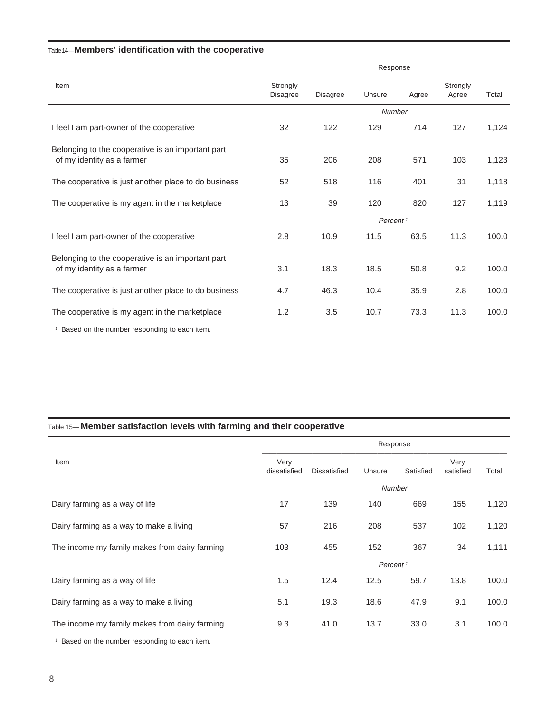#### Table 14— **Members' identification with the cooperative**

|                                                                                 | Response                    |                 |                      |       |                   |       |
|---------------------------------------------------------------------------------|-----------------------------|-----------------|----------------------|-------|-------------------|-------|
| Item                                                                            | Strongly<br><b>Disagree</b> | <b>Disagree</b> | Unsure               | Agree | Strongly<br>Agree | Total |
|                                                                                 |                             |                 | <b>Number</b>        |       |                   |       |
| I feel I am part-owner of the cooperative                                       | 32                          | 122             | 129                  | 714   | 127               | 1,124 |
| Belonging to the cooperative is an important part<br>of my identity as a farmer | 35                          | 206             | 208                  | 571   | 103               | 1,123 |
| The cooperative is just another place to do business                            | 52                          | 518             | 116                  | 401   | 31                | 1,118 |
| The cooperative is my agent in the marketplace                                  | 13                          | 39              | 120                  | 820   | 127               | 1,119 |
|                                                                                 |                             |                 | Percent <sup>1</sup> |       |                   |       |
| I feel I am part-owner of the cooperative                                       | 2.8                         | 10.9            | 11.5                 | 63.5  | 11.3              | 100.0 |
| Belonging to the cooperative is an important part<br>of my identity as a farmer | 3.1                         | 18.3            | 18.5                 | 50.8  | 9.2               | 100.0 |
| The cooperative is just another place to do business                            | 4.7                         | 46.3            | 10.4                 | 35.9  | 2.8               | 100.0 |
| The cooperative is my agent in the marketplace                                  | 1.2                         | 3.5             | 10.7                 | 73.3  | 11.3              | 100.0 |

<sup>1</sup> Based on the number responding to each item.

#### Table 15— **Member satisfaction levels with farming and their cooperative**

|                                               | Response             |                     |                      |           |                   |       |  |
|-----------------------------------------------|----------------------|---------------------|----------------------|-----------|-------------------|-------|--|
| Item                                          | Very<br>dissatisfied | <b>Dissatisfied</b> | Unsure               | Satisfied | Very<br>satisfied | Total |  |
|                                               |                      |                     | <b>Number</b>        |           |                   |       |  |
| Dairy farming as a way of life                | 17                   | 139                 | 140                  | 669       | 155               | 1,120 |  |
| Dairy farming as a way to make a living       | 57                   | 216                 | 208                  | 537       | 102               | 1,120 |  |
| The income my family makes from dairy farming | 103                  | 455                 | 152                  | 367       | 34                | 1,111 |  |
|                                               |                      |                     | Percent <sup>1</sup> |           |                   |       |  |
| Dairy farming as a way of life                | 1.5                  | 12.4                | 12.5                 | 59.7      | 13.8              | 100.0 |  |
| Dairy farming as a way to make a living       | 5.1                  | 19.3                | 18.6                 | 47.9      | 9.1               | 100.0 |  |
| The income my family makes from dairy farming | 9.3                  | 41.0                | 13.7                 | 33.0      | 3.1               | 100.0 |  |

<sup>1</sup> Based on the number responding to each item.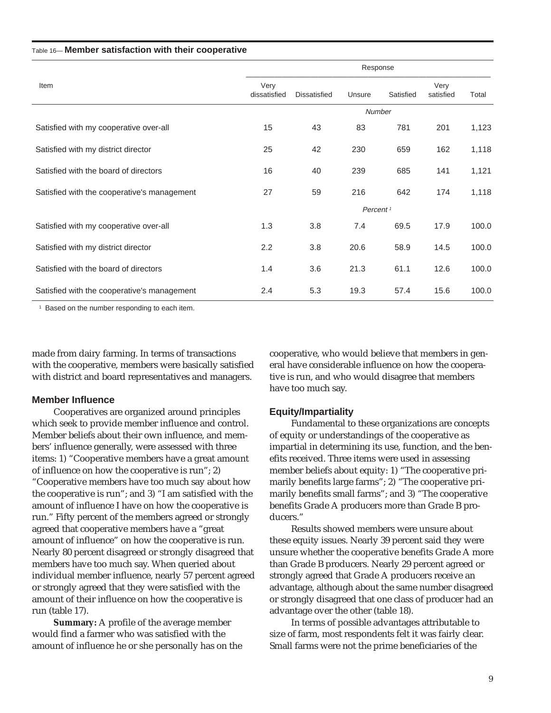#### Table 16— **Member satisfaction with their cooperative**

|                                             | Response             |                     |                      |           |                   |       |  |
|---------------------------------------------|----------------------|---------------------|----------------------|-----------|-------------------|-------|--|
| Item                                        | Very<br>dissatisfied | <b>Dissatisfied</b> | Unsure               | Satisfied | Very<br>satisfied | Total |  |
|                                             |                      |                     | <b>Number</b>        |           |                   |       |  |
| Satisfied with my cooperative over-all      | 15                   | 43                  | 83                   | 781       | 201               | 1,123 |  |
| Satisfied with my district director         | 25                   | 42                  | 230                  | 659       | 162               | 1,118 |  |
| Satisfied with the board of directors       | 16                   | 40                  | 239                  | 685       | 141               | 1,121 |  |
| Satisfied with the cooperative's management | 27                   | 59                  | 216                  | 642       | 174               | 1,118 |  |
|                                             |                      |                     | Percent <sup>1</sup> |           |                   |       |  |
| Satisfied with my cooperative over-all      | 1.3                  | 3.8                 | 7.4                  | 69.5      | 17.9              | 100.0 |  |
| Satisfied with my district director         | 2.2                  | 3.8                 | 20.6                 | 58.9      | 14.5              | 100.0 |  |
| Satisfied with the board of directors       | 1.4                  | 3.6                 | 21.3                 | 61.1      | 12.6              | 100.0 |  |
| Satisfied with the cooperative's management | 2.4                  | 5.3                 | 19.3                 | 57.4      | 15.6              | 100.0 |  |

<sup>1</sup> Based on the number responding to each item.

made from dairy farming. In terms of transactions with the cooperative, members were basically satisfied with district and board representatives and managers.

#### **Member Influence**

Cooperatives are organized around principles which seek to provide member influence and control. Member beliefs about their own influence, and members' influence generally, were assessed with three items: 1) "Cooperative members have a great amount of influence on how the cooperative is run"; 2) "Cooperative members have too much say about how the cooperative is run"; and 3) "I am satisfied with the amount of influence I have on how the cooperative is run." Fifty percent of the members agreed or strongly agreed that cooperative members have a "great amount of influence" on how the cooperative is run. Nearly 80 percent disagreed or strongly disagreed that members have too much say. When queried about individual member influence, nearly 57 percent agreed or strongly agreed that they were satisfied with the amount of their influence on how the cooperative is run (table 17).

**Summary:** A profile of the average member would find a farmer who was satisfied with the amount of influence he or she personally has on the cooperative, who would believe that members in general have considerable influence on how the cooperative is run, and who would disagree that members have too much say.

#### **Equity/Impartiality**

Fundamental to these organizations are concepts of equity or understandings of the cooperative as impartial in determining its use, function, and the benefits received. Three items were used in assessing member beliefs about equity: 1) "The cooperative primarily benefits large farms"; 2) "The cooperative primarily benefits small farms"; and 3) "The cooperative benefits Grade A producers more than Grade B producers."

Results showed members were unsure about these equity issues. Nearly 39 percent said they were unsure whether the cooperative benefits Grade A more than Grade B producers. Nearly 29 percent agreed or strongly agreed that Grade A producers receive an advantage, although about the same number disagreed or strongly disagreed that one class of producer had an advantage over the other (table 18).

In terms of possible advantages attributable to size of farm, most respondents felt it was fairly clear. Small farms were not the prime beneficiaries of the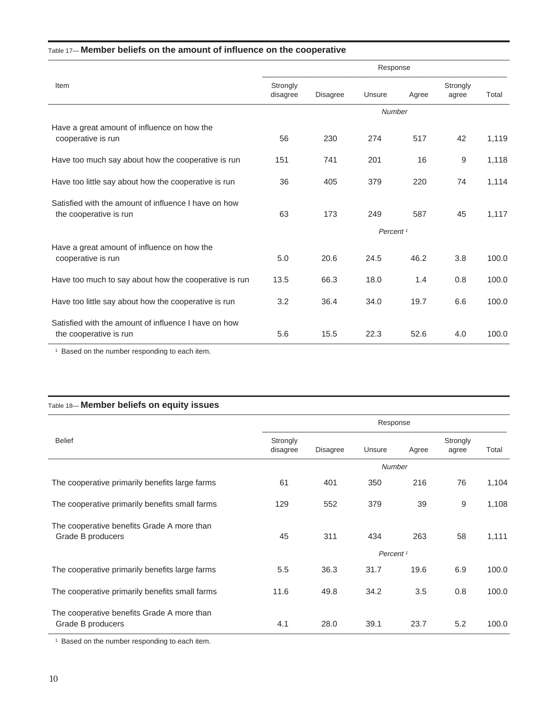#### Table 17— **Member beliefs on the amount of influence on the cooperative**

|                                                                                |                      |                 | Response             |       |                   |       |
|--------------------------------------------------------------------------------|----------------------|-----------------|----------------------|-------|-------------------|-------|
| Item                                                                           | Strongly<br>disagree | <b>Disagree</b> | Unsure               | Agree | Strongly<br>agree | Total |
|                                                                                |                      |                 | Number               |       |                   |       |
| Have a great amount of influence on how the<br>cooperative is run              | 56                   | 230             | 274                  | 517   | 42                | 1,119 |
| Have too much say about how the cooperative is run                             | 151                  | 741             | 201                  | 16    | 9                 | 1,118 |
| Have too little say about how the cooperative is run                           | 36                   | 405             | 379                  | 220   | 74                | 1,114 |
| Satisfied with the amount of influence I have on how<br>the cooperative is run | 63                   | 173             | 249                  | 587   | 45                | 1,117 |
|                                                                                |                      |                 | Percent <sup>1</sup> |       |                   |       |
| Have a great amount of influence on how the<br>cooperative is run              | 5.0                  | 20.6            | 24.5                 | 46.2  | 3.8               | 100.0 |
| Have too much to say about how the cooperative is run                          | 13.5                 | 66.3            | 18.0                 | 1.4   | 0.8               | 100.0 |
| Have too little say about how the cooperative is run                           | 3.2                  | 36.4            | 34.0                 | 19.7  | 6.6               | 100.0 |
| Satisfied with the amount of influence I have on how<br>the cooperative is run | 5.6                  | 15.5            | 22.3                 | 52.6  | 4.0               | 100.0 |

<sup>1</sup> Based on the number responding to each item.

#### Table 18— **Member beliefs on equity issues**

|                                                                 | Response             |                 |                      |       |                   |       |
|-----------------------------------------------------------------|----------------------|-----------------|----------------------|-------|-------------------|-------|
| <b>Belief</b>                                                   | Strongly<br>disagree | <b>Disagree</b> | Unsure               | Agree | Strongly<br>agree | Total |
|                                                                 |                      |                 | <b>Number</b>        |       |                   |       |
| The cooperative primarily benefits large farms                  | 61                   | 401             | 350                  | 216   | 76                | 1,104 |
| The cooperative primarily benefits small farms                  | 129                  | 552             | 379                  | 39    | 9                 | 1,108 |
| The cooperative benefits Grade A more than<br>Grade B producers | 45                   | 311             | 434                  | 263   | 58                | 1,111 |
|                                                                 |                      |                 | Percent <sup>1</sup> |       |                   |       |
| The cooperative primarily benefits large farms                  | 5.5                  | 36.3            | 31.7                 | 19.6  | 6.9               | 100.0 |
| The cooperative primarily benefits small farms                  | 11.6                 | 49.8            | 34.2                 | 3.5   | 0.8               | 100.0 |
| The cooperative benefits Grade A more than<br>Grade B producers | 4.1                  | 28.0            | 39.1                 | 23.7  | 5.2               | 100.0 |

<sup>1</sup> Based on the number responding to each item.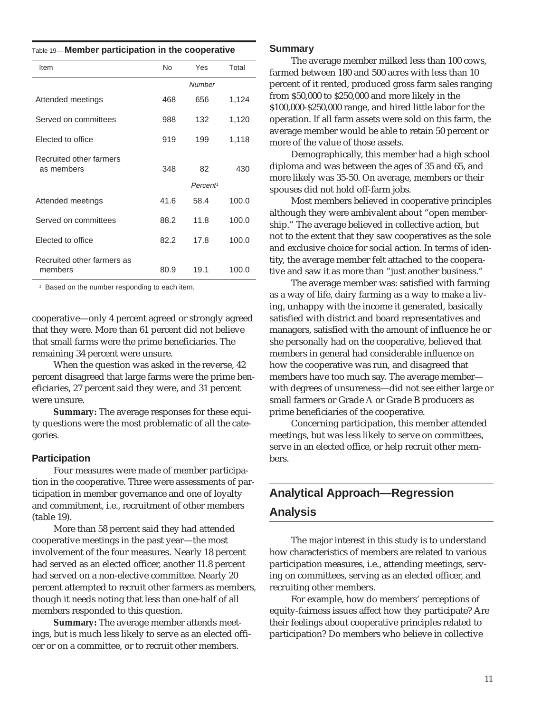| Table 19- Member participation in the cooperative |  |  |
|---------------------------------------------------|--|--|
|                                                   |  |  |

| Item                                  | <b>No</b> | Yes                  | Total |
|---------------------------------------|-----------|----------------------|-------|
|                                       |           | <b>Number</b>        |       |
| Attended meetings                     | 468       | 656                  | 1,124 |
| Served on committees                  | 988       | 132                  | 1,120 |
| Elected to office                     | 919       | 199                  | 1,118 |
| Recruited other farmers<br>as members | 348       | 82                   | 430   |
|                                       |           | Percent <sup>1</sup> |       |
| Attended meetings                     | 41.6      | 58.4                 | 100.0 |
| Served on committees                  | 88.2      | 11.8                 | 100.0 |
| Elected to office                     | 82.2      | 17.8                 | 100.0 |
| Recruited other farmers as<br>members | 80.9      | 19.1                 | 100.0 |

<sup>1</sup> Based on the number responding to each item.

cooperative—only 4 percent agreed or strongly agreed that they were. More than 61 percent did not believe that small farms were the prime beneficiaries. The remaining 34 percent were unsure.

When the question was asked in the reverse, 42 percent disagreed that large farms were the prime beneficiaries, 27 percent said they were, and 31 percent were unsure.

**Summary:** The average responses for these equity questions were the most problematic of all the categories.

#### **Participation**

Four measures were made of member participation in the cooperative. Three were assessments of participation in member governance and one of loyalty and commitment, i.e., recruitment of other members (table 19).

More than 58 percent said they had attended cooperative meetings in the past year—the most involvement of the four measures. Nearly 18 percent had served as an elected officer, another 11.8 percent had served on a non-elective committee. Nearly 20 percent attempted to recruit other farmers as members, though it needs noting that less than one-half of all members responded to this question.

**Summary:** The average member attends meetings, but is much less likely to serve as an elected officer or on a committee, or to recruit other members.

#### **Summary**

The average member milked less than 100 cows, farmed between 180 and 500 acres with less than 10 percent of it rented, produced gross farm sales ranging from \$50,000 to \$250,000 and more likely in the \$100,000-\$250,000 range, and hired little labor for the operation. If all farm assets were sold on this farm, the average member would be able to retain 50 percent or more of the value of those assets.

Demographically, this member had a high school diploma and was between the ages of 35 and 65, and more likely was 35-50. On average, members or their spouses did not hold off-farm jobs.

Most members believed in cooperative principles although they were ambivalent about "open membership." The average believed in collective action, but not to the extent that they saw cooperatives as the sole and exclusive choice for social action. In terms of identity, the average member felt attached to the cooperative and saw it as more than "just another business."

The average member was: satisfied with farming as a way of life, dairy farming as a way to make a living, unhappy with the income it generated, basically satisfied with district and board representatives and managers, satisfied with the amount of influence he or she personally had on the cooperative, believed that members in general had considerable influence on how the cooperative was run, and disagreed that members have too much say. The average member with degrees of unsureness—did not see either large or small farmers or Grade A or Grade B producers as prime beneficiaries of the cooperative.

Concerning participation, this member attended meetings, but was less likely to serve on committees, serve in an elected office, or help recruit other members.

### **Analytical Approach—Regression Analysis**

The major interest in this study is to understand how characteristics of members are related to various participation measures, i.e., attending meetings, serving on committees, serving as an elected officer, and recruiting other members.

For example, how do members' perceptions of equity-fairness issues affect how they participate? Are their feelings about cooperative principles related to participation? Do members who believe in collective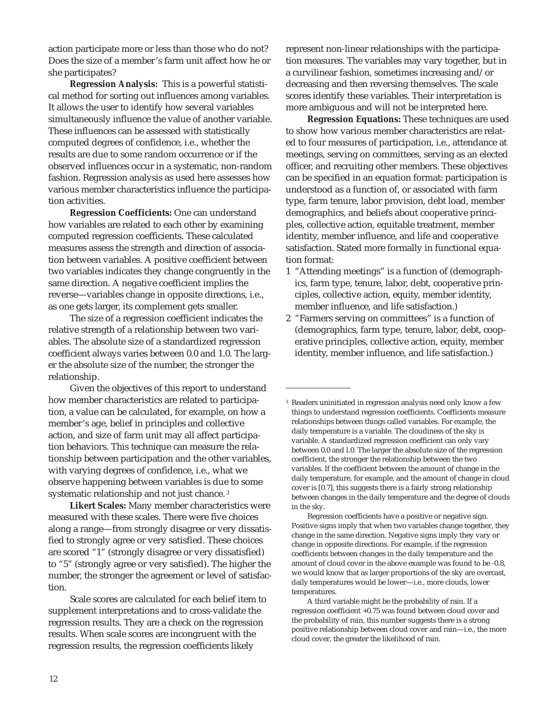action participate more or less than those who do not? Does the size of a member's farm unit affect how he or she participates?

**Regression Analysis:** This is a powerful statistical method for sorting out influences among variables. It allows the user to identify how several variables simultaneously influence the value of another variable. These influences can be assessed with statistically computed degrees of confidence, i.e., whether the results are due to some random occurrence or if the observed influences occur in a systematic, non-random fashion. Regression analysis as used here assesses how various member characteristics influence the participation activities.

**Regression Coefficients:** One can understand how variables are related to each other by examining computed regression coefficients. These calculated measures assess the strength and direction of association between variables. A positive coefficient between two variables indicates they change congruently in the same direction. A negative coefficient implies the reverse—variables change in opposite directions, i.e., as one gets larger, its complement gets smaller.

The size of a regression coefficient indicates the relative strength of a relationship between two variables. The absolute size of a standardized regression coefficient always varies between 0.0 and 1.0. The larger the absolute size of the number, the stronger the relationship.

Given the objectives of this report to understand how member characteristics are related to participation, a value can be calculated, for example, on how a member's age, belief in principles and collective action, and size of farm unit may all affect participation behaviors. This technique can measure the relationship between participation and the other variables, with varying degrees of confidence, i.e., what we observe happening between variables is due to some systematic relationship and not just chance. <sup>3</sup>

**Likert Scales:** Many member characteristics were measured with these scales. There were five choices along a range—from strongly disagree or very dissatisfied to strongly agree or very satisfied. These choices are scored "1" (strongly disagree or very dissatisfied) to "5" (strongly agree or very satisfied). The higher the number, the stronger the agreement or level of satisfaction.

Scale scores are calculated for each belief item to supplement interpretations and to cross-validate the regression results. They are a check on the regression results. When scale scores are incongruent with the regression results, the regression coefficients likely

represent non-linear relationships with the participation measures. The variables may vary together, but in a curvilinear fashion, sometimes increasing and/or decreasing and then reversing themselves. The scale scores identify these variables. Their interpretation is more ambiguous and will not be interpreted here.

**Regression Equations:** These techniques are used to show how various member characteristics are related to four measures of participation, i.e., attendance at meetings, serving on committees, serving as an elected officer, and recruiting other members. These objectives can be specified in an equation format: participation is understood as a function of, or associated with farm type, farm tenure, labor provision, debt load, member demographics, and beliefs about cooperative principles, collective action, equitable treatment, member identity, member influence, and life and cooperative satisfaction. Stated more formally in functional equation format:

- 1 "Attending meetings" is a function of (demographics, farm type, tenure, labor, debt, cooperative principles, collective action, equity, member identity, member influence, and life satisfaction.)
- 2 "Farmers serving on committees" is a function of (demographics, farm type, tenure, labor, debt, cooperative principles, collective action, equity, member identity, member influence, and life satisfaction.)

<sup>&</sup>lt;sup>3</sup> Readers uninitiated in regression analysis need only know a few things to understand regression coefficients. Coefficients measure relationships between things called variables. For example, the daily temperature is a variable. The cloudiness of the sky is variable. A standardized regression coefficient can only vary between 0.0 and l.0. The larger the absolute size of the regression coefficient, the stronger the relationship between the two variables. If the coefficient between the amount of change in the daily temperature, for example, and the amount of change in cloud cover is [0.7], this suggests there is a fairly strong relationship between changes in the daily temperature and the degree of clouds in the sky.

Regression coefficients have a positive or negative sign. Positive signs imply that when two variables change together, they change in the same direction. Negative signs imply they vary or change in opposite directions. For example, if the regression coefficients between changes in the daily temperature and the amount of cloud cover in the above example was found to be -0.8, we would know that as larger proportions of the sky are overcast, daily temperatures would be lower—i.e., more clouds, lower temperatures.

A third variable might be the probability of rain. If a regression coefficient +0.75 was found between cloud cover and the probability of rain, this number suggests there is a strong positive relationship between cloud cover and rain—i.e., the more cloud cover, the greater the likelihood of rain.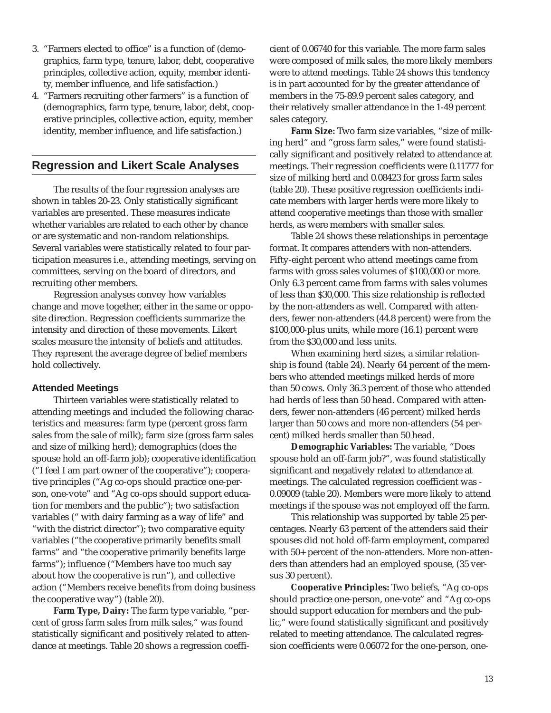- 3. "Farmers elected to office" is a function of (demographics, farm type, tenure, labor, debt, cooperative principles, collective action, equity, member identity, member influence, and life satisfaction.)
- 4. "Farmers recruiting other farmers" is a function of (demographics, farm type, tenure, labor, debt, cooperative principles, collective action, equity, member identity, member influence, and life satisfaction.)

#### **Regression and Likert Scale Analyses**

The results of the four regression analyses are shown in tables 20-23. Only statistically significant variables are presented. These measures indicate whether variables are related to each other by chance or are systematic and non-random relationships. Several variables were statistically related to four participation measures i.e., attending meetings, serving on committees, serving on the board of directors, and recruiting other members.

Regression analyses convey how variables change and move together, either in the same or opposite direction. Regression coefficients summarize the intensity and direction of these movements. Likert scales measure the intensity of beliefs and attitudes. They represent the average degree of belief members hold collectively.

#### **Attended Meetings**

Thirteen variables were statistically related to attending meetings and included the following characteristics and measures: farm type (percent gross farm sales from the sale of milk); farm size (gross farm sales and size of milking herd); demographics (does the spouse hold an off-farm job); cooperative identification ("I feel I am part owner of the cooperative"); cooperative principles ("Ag co-ops should practice one-person, one-vote" and "Ag co-ops should support education for members and the public"); two satisfaction variables (" with dairy farming as a way of life" and "with the district director"); two comparative equity variables ("the cooperative primarily benefits small farms" and "the cooperative primarily benefits large farms"); influence ("Members have too much say about how the cooperative is run"), and collective action ("Members receive benefits from doing business the cooperative way") (table 20).

**Farm Type, Dairy:** The farm type variable, "percent of gross farm sales from milk sales," was found statistically significant and positively related to attendance at meetings. Table 20 shows a regression coeffi-

cient of 0.06740 for this variable. The more farm sales were composed of milk sales, the more likely members were to attend meetings. Table 24 shows this tendency is in part accounted for by the greater attendance of members in the 75-89.9 percent sales category, and their relatively smaller attendance in the 1-49 percent sales category.

**Farm Size:** Two farm size variables, "size of milking herd" and "gross farm sales," were found statistically significant and positively related to attendance at meetings. Their regression coefficients were 0.11777 for size of milking herd and 0.08423 for gross farm sales (table 20). These positive regression coefficients indicate members with larger herds were more likely to attend cooperative meetings than those with smaller herds, as were members with smaller sales.

Table 24 shows these relationships in percentage format. It compares attenders with non-attenders. Fifty-eight percent who attend meetings came from farms with gross sales volumes of \$100,000 or more. Only 6.3 percent came from farms with sales volumes of less than \$30,000. This size relationship is reflected by the non-attenders as well. Compared with attenders, fewer non-attenders (44.8 percent) were from the \$100,000-plus units, while more (16.1) percent were from the \$30,000 and less units.

When examining herd sizes, a similar relationship is found (table 24). Nearly 64 percent of the members who attended meetings milked herds of more than 50 cows. Only 36.3 percent of those who attended had herds of less than 50 head. Compared with attenders, fewer non-attenders (46 percent) milked herds larger than 50 cows and more non-attenders (54 percent) milked herds smaller than 50 head.

**Demographic Variables:** The variable, "Does spouse hold an off-farm job?", was found statistically significant and negatively related to attendance at meetings. The calculated regression coefficient was - 0.09009 (table 20). Members were more likely to attend meetings if the spouse was not employed off the farm.

This relationship was supported by table 25 percentages. Nearly 63 percent of the attenders said their spouses did not hold off-farm employment, compared with 50+ percent of the non-attenders. More non-attenders than attenders had an employed spouse, (35 versus 30 percent).

**Cooperative Principles:** Two beliefs, "Ag co-ops should practice one-person, one-vote" and "Ag co-ops should support education for members and the public," were found statistically significant and positively related to meeting attendance. The calculated regression coefficients were 0.06072 for the one-person, one-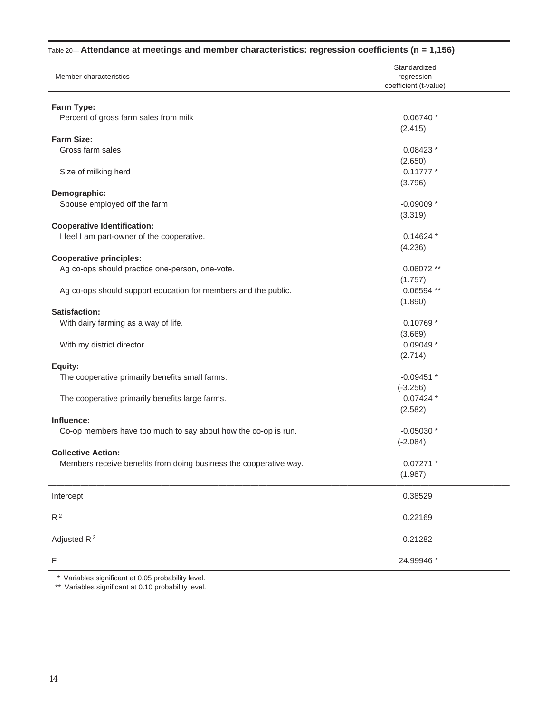|                                                                   | Standardized          |
|-------------------------------------------------------------------|-----------------------|
| Member characteristics                                            | regression            |
|                                                                   | coefficient (t-value) |
|                                                                   |                       |
| Farm Type:                                                        |                       |
| Percent of gross farm sales from milk                             | $0.06740*$            |
|                                                                   | (2.415)               |
| Farm Size:                                                        |                       |
| Gross farm sales                                                  | 0.08423 *             |
|                                                                   | (2.650)               |
| Size of milking herd                                              | $0.11777*$            |
|                                                                   | (3.796)               |
| Demographic:                                                      |                       |
| Spouse employed off the farm                                      | $-0.09009*$           |
|                                                                   | (3.319)               |
| <b>Cooperative Identification:</b>                                |                       |
| I feel I am part-owner of the cooperative.                        | $0.14624*$            |
|                                                                   | (4.236)               |
| <b>Cooperative principles:</b>                                    |                       |
| Ag co-ops should practice one-person, one-vote.                   | $0.06072**$           |
|                                                                   | (1.757)               |
| Ag co-ops should support education for members and the public.    | 0.06594 **            |
|                                                                   | (1.890)               |
| Satisfaction:                                                     |                       |
|                                                                   |                       |
| With dairy farming as a way of life.                              | 0.10769 *             |
|                                                                   | (3.669)               |
| With my district director.                                        | $0.09049*$            |
|                                                                   | (2.714)               |
| Equity:                                                           |                       |
| The cooperative primarily benefits small farms.                   | $-0.09451$ *          |
|                                                                   | $(-3.256)$            |
| The cooperative primarily benefits large farms.                   | $0.07424*$            |
|                                                                   | (2.582)               |
| Influence:                                                        |                       |
| Co-op members have too much to say about how the co-op is run.    | $-0.05030*$           |
|                                                                   | $(-2.084)$            |
| <b>Collective Action:</b>                                         |                       |
| Members receive benefits from doing business the cooperative way. | $0.07271$ *           |
|                                                                   | (1.987)               |
|                                                                   |                       |
| Intercept                                                         | 0.38529               |
|                                                                   |                       |
| R <sup>2</sup>                                                    | 0.22169               |
|                                                                   |                       |
| Adjusted R <sup>2</sup>                                           | 0.21282               |
|                                                                   |                       |
| $\mathsf F$                                                       | 24.99946 *            |
|                                                                   |                       |

#### Table 20— **Attendance at meetings and member characteristics: regression coefficients (n = 1,156)**

\* Variables significant at 0.05 probability level.

\*\* Variables significant at 0.10 probability level.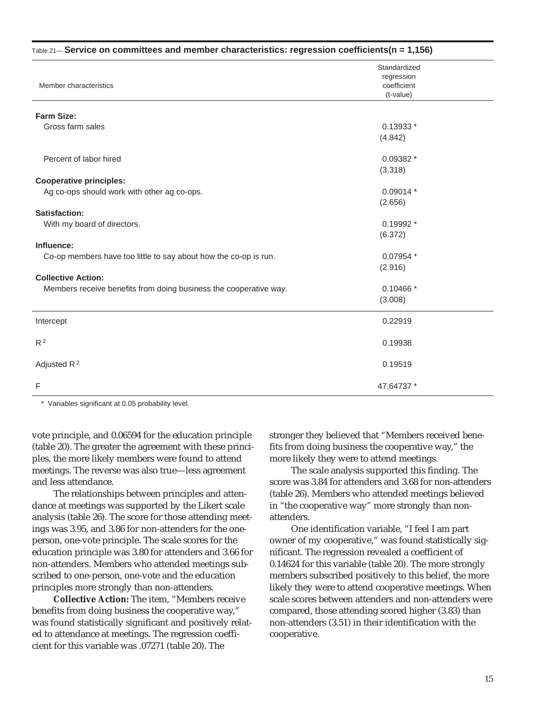| $_{\text{Table 21}}$ Service on committees and member characteristics: regression coefficients(n = 1,156) |                                                        |  |  |  |  |
|-----------------------------------------------------------------------------------------------------------|--------------------------------------------------------|--|--|--|--|
| Member characteristics                                                                                    | Standardized<br>regression<br>coefficient<br>(t-value) |  |  |  |  |
| <b>Farm Size:</b>                                                                                         |                                                        |  |  |  |  |
| Gross farm sales                                                                                          | 0.13933 *<br>(4.842)                                   |  |  |  |  |
| Percent of labor hired                                                                                    | $0.09382*$<br>(3.318)                                  |  |  |  |  |
| <b>Cooperative principles:</b>                                                                            |                                                        |  |  |  |  |
| Ag co-ops should work with other ag co-ops.                                                               | $0.09014*$<br>(2.656)                                  |  |  |  |  |
| Satisfaction:                                                                                             |                                                        |  |  |  |  |
| With my board of directors.                                                                               | 0.19992 *<br>(6.372)                                   |  |  |  |  |
| Influence:                                                                                                |                                                        |  |  |  |  |
| Co-op members have too little to say about how the co-op is run.                                          | $0.07954$ *<br>(2.916)                                 |  |  |  |  |
| <b>Collective Action:</b>                                                                                 |                                                        |  |  |  |  |
| Members receive benefits from doing business the cooperative way.                                         | $0.10466*$<br>(3.008)                                  |  |  |  |  |
| Intercept                                                                                                 | 0.22919                                                |  |  |  |  |
| $R^2$                                                                                                     | 0.19938                                                |  |  |  |  |
| Adjusted R <sup>2</sup>                                                                                   | 0.19519                                                |  |  |  |  |
| F                                                                                                         | 47.64737 *                                             |  |  |  |  |

\* Variables significant at 0.05 probability level.

vote principle, and 0.06594 for the education principle (table 20). The greater the agreement with these principles, the more likely members were found to attend meetings. The reverse was also true—less agreement and less attendance.

The relationships between principles and attendance at meetings was supported by the Likert scale analysis (table 26). The score for those attending meetings was 3.95, and 3.86 for non-attenders for the oneperson, one-vote principle. The scale scores for the education principle was 3.80 for attenders and 3.66 for non-attenders. Members who attended meetings subscribed to one-person, one-vote and the education principles more strongly than non-attenders.

**Collective Action:** The item, "Members receive benefits from doing business the cooperative way," was found statistically significant and positively related to attendance at meetings. The regression coefficient for this variable was .07271 (table 20). The

stronger they believed that "Members received benefits from doing business the cooperative way," the more likely they were to attend meetings.

The scale analysis supported this finding. The score was 3.84 for attenders and 3.68 for non-attenders (table 26). Members who attended meetings believed in "the cooperative way" more strongly than nonattenders.

One identification variable, "I feel I am part owner of my cooperative," was found statistically significant. The regression revealed a coefficient of 0.14624 for this variable (table 20). The more strongly members subscribed positively to this belief, the more likely they were to attend cooperative meetings. When scale scores between attenders and non-attenders were compared, those attending scored higher (3.83) than non-attenders (3.51) in their identification with the cooperative.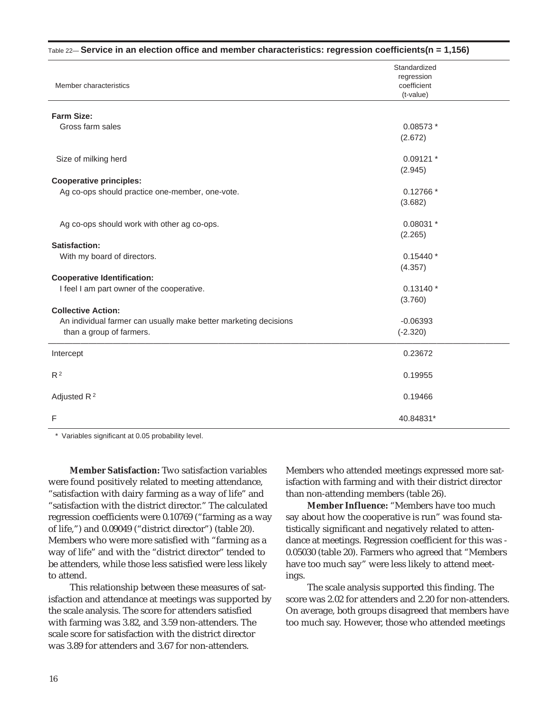| $_{\text{Table 22}}-$ Service in an election office and member characteristics: regression coefficients(n = 1,156) |                           |
|--------------------------------------------------------------------------------------------------------------------|---------------------------|
|                                                                                                                    | Standardized              |
| Member characteristics                                                                                             | regression<br>coefficient |
|                                                                                                                    | (t-value)                 |
| <b>Farm Size:</b>                                                                                                  |                           |
| Gross farm sales                                                                                                   | 0.08573 *                 |
|                                                                                                                    | (2.672)                   |
| Size of milking herd                                                                                               | $0.09121$ *               |
|                                                                                                                    | (2.945)                   |
| <b>Cooperative principles:</b>                                                                                     |                           |
| Ag co-ops should practice one-member, one-vote.                                                                    | $0.12766*$                |
|                                                                                                                    | (3.682)                   |
| Ag co-ops should work with other ag co-ops.                                                                        | $0.08031$ *               |
|                                                                                                                    | (2.265)                   |
| <b>Satisfaction:</b>                                                                                               |                           |
| With my board of directors.                                                                                        | $0.15440*$                |
|                                                                                                                    | (4.357)                   |
| <b>Cooperative Identification:</b>                                                                                 |                           |
| I feel I am part owner of the cooperative.                                                                         | $0.13140*$                |
|                                                                                                                    | (3.760)                   |
| <b>Collective Action:</b>                                                                                          |                           |
| An individual farmer can usually make better marketing decisions                                                   | $-0.06393$                |
| than a group of farmers.                                                                                           | $(-2.320)$                |
| Intercept                                                                                                          | 0.23672                   |
| R <sup>2</sup>                                                                                                     | 0.19955                   |
| Adjusted $R^2$                                                                                                     | 0.19466                   |
|                                                                                                                    |                           |
| F                                                                                                                  | 40.84831*                 |

\* Variables significant at 0.05 probability level.

**Member Satisfaction:** Two satisfaction variables were found positively related to meeting attendance, "satisfaction with dairy farming as a way of life" and "satisfaction with the district director." The calculated regression coefficients were 0.10769 ("farming as a way of life,") and 0.09049 ("district director") (table 20). Members who were more satisfied with "farming as a way of life" and with the "district director" tended to be attenders, while those less satisfied were less likely to attend.

This relationship between these measures of satisfaction and attendance at meetings was supported by the scale analysis. The score for attenders satisfied with farming was 3.82, and 3.59 non-attenders. The scale score for satisfaction with the district director was 3.89 for attenders and 3.67 for non-attenders.

Members who attended meetings expressed more satisfaction with farming and with their district director than non-attending members (table 26).

**Member Influence:** "Members have too much say about how the cooperative is run" was found statistically significant and negatively related to attendance at meetings. Regression coefficient for this was - 0.05030 (table 20). Farmers who agreed that "Members have too much say" were less likely to attend meetings.

The scale analysis supported this finding. The score was 2.02 for attenders and 2.20 for non-attenders. On average, both groups disagreed that members have too much say. However, those who attended meetings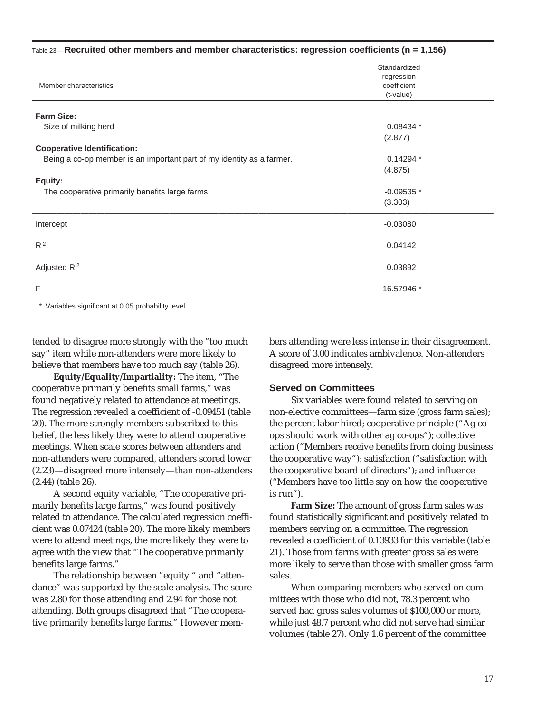| $_{\text{Table 23}}$ -- Recruited other members and member characteristics: regression coefficients (n = 1,156) |                                                        |  |  |  |
|-----------------------------------------------------------------------------------------------------------------|--------------------------------------------------------|--|--|--|
| Member characteristics                                                                                          | Standardized<br>regression<br>coefficient<br>(t-value) |  |  |  |
| Farm Size:                                                                                                      |                                                        |  |  |  |
| Size of milking herd                                                                                            | 0.08434 *<br>(2.877)                                   |  |  |  |
| <b>Cooperative Identification:</b>                                                                              |                                                        |  |  |  |
| Being a co-op member is an important part of my identity as a farmer.                                           | $0.14294*$<br>(4.875)                                  |  |  |  |
| Equity:                                                                                                         |                                                        |  |  |  |
| The cooperative primarily benefits large farms.                                                                 | $-0.09535*$                                            |  |  |  |
|                                                                                                                 | (3.303)                                                |  |  |  |
| Intercept                                                                                                       | $-0.03080$                                             |  |  |  |
| R <sup>2</sup>                                                                                                  | 0.04142                                                |  |  |  |
| Adjusted $R^2$                                                                                                  | 0.03892                                                |  |  |  |
| F                                                                                                               | 16.57946 *                                             |  |  |  |

\* Variables significant at 0.05 probability level.

tended to disagree more strongly with the "too much say" item while non-attenders were more likely to believe that members have too much say (table 26).

**Equity/Equality/Impartiality:** The item, "The cooperative primarily benefits small farms," was found negatively related to attendance at meetings. The regression revealed a coefficient of -0.09451 (table 20). The more strongly members subscribed to this belief, the less likely they were to attend cooperative meetings. When scale scores between attenders and non-attenders were compared, attenders scored lower (2.23)—disagreed more intensely—than non-attenders (2.44) (table 26).

A second equity variable, "The cooperative primarily benefits large farms," was found positively related to attendance. The calculated regression coefficient was 0.07424 (table 20). The more likely members were to attend meetings, the more likely they were to agree with the view that "The cooperative primarily benefits large farms."

The relationship between "equity " and "attendance" was supported by the scale analysis. The score was 2.80 for those attending and 2.94 for those not attending. Both groups disagreed that "The cooperative primarily benefits large farms." However members attending were less intense in their disagreement. A score of 3.00 indicates ambivalence. Non-attenders disagreed more intensely.

#### **Served on Committees**

Six variables were found related to serving on non-elective committees—farm size (gross farm sales); the percent labor hired; cooperative principle ("Ag coops should work with other ag co-ops"); collective action ("Members receive benefits from doing business the cooperative way"); satisfaction ("satisfaction with the cooperative board of directors"); and influence ("Members have too little say on how the cooperative is run").

**Farm Size:** The amount of gross farm sales was found statistically significant and positively related to members serving on a committee. The regression revealed a coefficient of 0.13933 for this variable (table 21). Those from farms with greater gross sales were more likely to serve than those with smaller gross farm sales.

When comparing members who served on committees with those who did not, 78.3 percent who served had gross sales volumes of \$100,000 or more, while just 48.7 percent who did not serve had similar volumes (table 27). Only 1.6 percent of the committee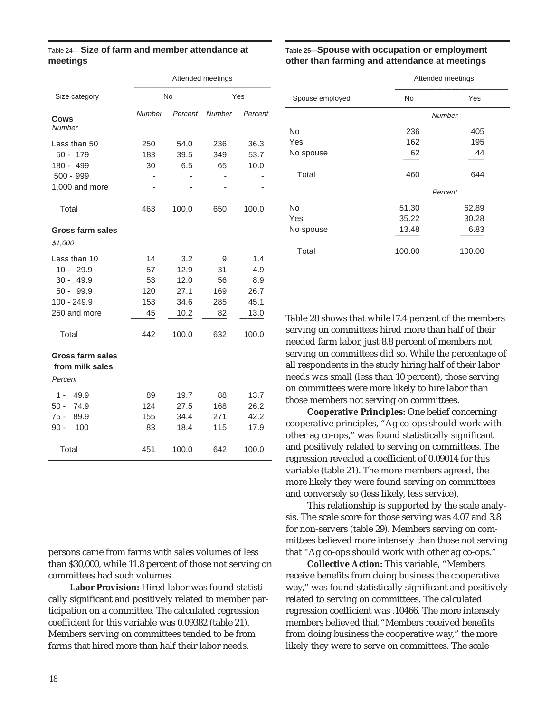| Table 24— Size of farm and member attendance at |  |  |  |
|-------------------------------------------------|--|--|--|
| meetings                                        |  |  |  |

|                                                                                                        |                                           | Attended meetings                                    |                                          |                                                    |  |  |  |
|--------------------------------------------------------------------------------------------------------|-------------------------------------------|------------------------------------------------------|------------------------------------------|----------------------------------------------------|--|--|--|
| Size category                                                                                          |                                           | No                                                   |                                          | Yes                                                |  |  |  |
| Cows<br>Number                                                                                         | Number                                    | Percent                                              | Number                                   | Percent                                            |  |  |  |
| Less than 50<br>179<br>$50 -$<br>180 - 499<br>$500 - 999$<br>1,000 and more<br>Total                   | 250<br>183<br>30<br>463                   | 54.0<br>39.5<br>6.5<br>100.0                         | 236<br>349<br>65<br>650                  | 36.3<br>53.7<br>10.0<br>100.0                      |  |  |  |
| Gross farm sales<br>\$1,000                                                                            |                                           |                                                      |                                          |                                                    |  |  |  |
| Less than 10<br>29.9<br>10 -<br>$30 -$<br>49.9<br>50 -<br>99.9<br>100 - 249.9<br>250 and more<br>Total | 14<br>57<br>53<br>120<br>153<br>45<br>442 | 3.2<br>12.9<br>12.0<br>27.1<br>34.6<br>10.2<br>100.0 | 9<br>31<br>56<br>169<br>285<br>82<br>632 | 1.4<br>4.9<br>8.9<br>26.7<br>45.1<br>13.0<br>100.0 |  |  |  |
| Gross farm sales<br>from milk sales<br>Percent                                                         |                                           |                                                      |                                          |                                                    |  |  |  |
| 49.9<br>1 -<br>50 -<br>74.9<br>75 -<br>89.9<br>100<br>90 -                                             | 89<br>124<br>155<br>83                    | 19.7<br>27.5<br>34.4<br>18.4                         | 88<br>168<br>271<br>115                  | 13.7<br>26.2<br>42.2<br>17.9                       |  |  |  |
| Total                                                                                                  | 451                                       | 100.0                                                | 642                                      | 100.0                                              |  |  |  |

persons came from farms with sales volumes of less than \$30,000, while 11.8 percent of those not serving on committees had such volumes.

**Labor Provision:** Hired labor was found statistically significant and positively related to member participation on a committee. The calculated regression coefficient for this variable was 0.09382 (table 21). Members serving on committees tended to be from farms that hired more than half their labor needs.

#### **Table 25—Spouse with occupation or employment other than farming and attendance at meetings**

|                 | Attended meetings |         |  |  |  |
|-----------------|-------------------|---------|--|--|--|
| Spouse employed | No                | Yes     |  |  |  |
|                 |                   | Number  |  |  |  |
| <b>No</b>       | 236               | 405     |  |  |  |
| Yes             | 162               | 195     |  |  |  |
| No spouse       | 62                | 44      |  |  |  |
| Total           | 460               | 644     |  |  |  |
|                 |                   | Percent |  |  |  |
| <b>No</b>       | 51.30             | 62.89   |  |  |  |
| Yes             | 35.22             | 30.28   |  |  |  |
| No spouse       | 13.48             | 6.83    |  |  |  |
| Total           | 100.00            | 100.00  |  |  |  |

Table 28 shows that while l7.4 percent of the members serving on committees hired more than half of their needed farm labor, just 8.8 percent of members not serving on committees did so. While the percentage of all respondents in the study hiring half of their labor needs was small (less than 10 percent), those serving on committees were more likely to hire labor than those members not serving on committees.

**Cooperative Principles:** One belief concerning cooperative principles, "Ag co-ops should work with other ag co-ops," was found statistically significant and positively related to serving on committees. The regression revealed a coefficient of 0.09014 for this variable (table 21). The more members agreed, the more likely they were found serving on committees and conversely so (less likely, less service).

This relationship is supported by the scale analysis. The scale score for those serving was 4.07 and 3.8 for non-servers (table 29). Members serving on committees believed more intensely than those not serving that "Ag co-ops should work with other ag co-ops."

**Collective Action:** This variable, "Members receive benefits from doing business the cooperative way," was found statistically significant and positively related to serving on committees. The calculated regression coefficient was .10466. The more intensely members believed that "Members received benefits from doing business the cooperative way," the more likely they were to serve on committees. The scale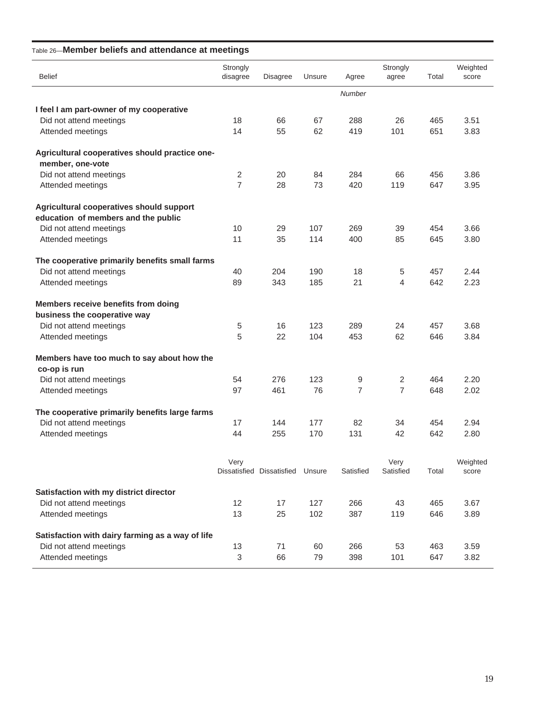#### Table 26—**Member beliefs and attendance at meetings**

| <b>Belief</b>                                    | Strongly<br>disagree | <b>Disagree</b>                  | Unsure | Agree         | Strongly<br>agree | Total | Weighted<br>score |
|--------------------------------------------------|----------------------|----------------------------------|--------|---------------|-------------------|-------|-------------------|
|                                                  |                      |                                  |        | <b>Number</b> |                   |       |                   |
| I feel I am part-owner of my cooperative         |                      |                                  |        |               |                   |       |                   |
| Did not attend meetings                          | 18                   | 66                               | 67     | 288           | 26                | 465   | 3.51              |
| Attended meetings                                | 14                   | 55                               | 62     | 419           | 101               | 651   | 3.83              |
| Agricultural cooperatives should practice one-   |                      |                                  |        |               |                   |       |                   |
| member, one-vote                                 |                      |                                  |        |               |                   |       |                   |
| Did not attend meetings                          | 2                    | 20                               | 84     | 284           | 66                | 456   | 3.86              |
| Attended meetings                                | $\overline{7}$       | 28                               | 73     | 420           | 119               | 647   | 3.95              |
| Agricultural cooperatives should support         |                      |                                  |        |               |                   |       |                   |
| education of members and the public              |                      |                                  |        |               |                   |       |                   |
| Did not attend meetings                          | 10                   | 29                               | 107    | 269           | 39                | 454   | 3.66              |
| Attended meetings                                | 11                   | 35                               | 114    | 400           | 85                | 645   | 3.80              |
| The cooperative primarily benefits small farms   |                      |                                  |        |               |                   |       |                   |
| Did not attend meetings                          | 40                   | 204                              | 190    | 18            | 5                 | 457   | 2.44              |
| Attended meetings                                | 89                   | 343                              | 185    | 21            | 4                 | 642   | 2.23              |
| Members receive benefits from doing              |                      |                                  |        |               |                   |       |                   |
| business the cooperative way                     |                      |                                  |        |               |                   |       |                   |
| Did not attend meetings                          | 5                    | 16                               | 123    | 289           | 24                | 457   | 3.68              |
| Attended meetings                                | 5                    | 22                               | 104    | 453           | 62                | 646   | 3.84              |
| Members have too much to say about how the       |                      |                                  |        |               |                   |       |                   |
| co-op is run                                     |                      |                                  |        |               |                   |       |                   |
| Did not attend meetings                          | 54                   | 276                              | 123    | 9             | 2                 | 464   | 2.20              |
| Attended meetings                                | 97                   | 461                              | 76     | 7             | $\overline{7}$    | 648   | 2.02              |
| The cooperative primarily benefits large farms   |                      |                                  |        |               |                   |       |                   |
| Did not attend meetings                          | 17                   | 144                              | 177    | 82            | 34                | 454   | 2.94              |
| Attended meetings                                | 44                   | 255                              | 170    | 131           | 42                | 642   | 2.80              |
|                                                  | Very                 |                                  |        |               | Very              |       | Weighted          |
|                                                  |                      | Dissatisfied Dissatisfied Unsure |        | Satisfied     | Satisfied         | Total | score             |
| Satisfaction with my district director           |                      |                                  |        |               |                   |       |                   |
| Did not attend meetings                          | 12                   | 17                               | 127    | 266           | 43                | 465   | 3.67              |
| Attended meetings                                | 13                   | 25                               | 102    | 387           | 119               | 646   | 3.89              |
| Satisfaction with dairy farming as a way of life |                      |                                  |        |               |                   |       |                   |
| Did not attend meetings                          | 13                   | 71                               | 60     | 266           | 53                | 463   | 3.59              |
| Attended meetings                                | $\sqrt{3}$           | 66                               | 79     | 398           | 101               | 647   | 3.82              |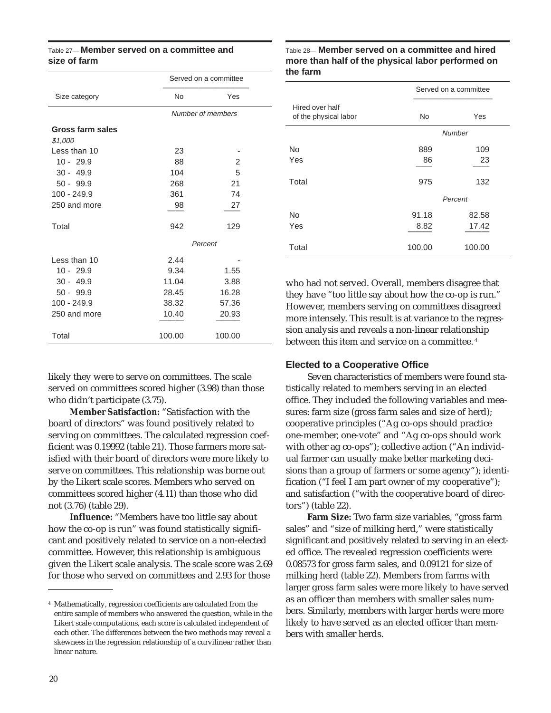#### Table 27— **Member served on a committee and size of farm**

|           | Served on a committee |
|-----------|-----------------------|
| <b>No</b> | Yes                   |
|           | Number of members     |
|           |                       |
|           |                       |
| 23        |                       |
| 88        | 2                     |
| 104       | 5                     |
| 268       | 21                    |
| 361       | 74                    |
| 98        | 27                    |
| 942       | 129                   |
|           | Percent               |
| 2.44      |                       |
| 9.34      | 1.55                  |
| 11.04     | 3.88                  |
| 28.45     | 16.28                 |
| 38.32     | 57.36                 |
| 10.40     | 20.93                 |
| 100.00    | 100.00                |
|           |                       |

likely they were to serve on committees. The scale served on committees scored higher (3.98) than those who didn't participate (3.75).

**Member Satisfaction:** "Satisfaction with the board of directors" was found positively related to serving on committees. The calculated regression coefficient was 0.19992 (table 21). Those farmers more satisfied with their board of directors were more likely to serve on committees. This relationship was borne out by the Likert scale scores. Members who served on committees scored higher (4.11) than those who did not (3.76) (table 29).

**Influence:** "Members have too little say about how the co-op is run" was found statistically significant and positively related to service on a non-elected committee. However, this relationship is ambiguous given the Likert scale analysis. The scale score was 2.69 for those who served on committees and 2.93 for those

#### Table 28— **Member served on a committee and hired more than half of the physical labor performed on the farm**

|                                          | Served on a committee |               |  |  |
|------------------------------------------|-----------------------|---------------|--|--|
| Hired over half<br>of the physical labor | No                    | Yes           |  |  |
|                                          |                       | <b>Number</b> |  |  |
| <b>No</b>                                | 889                   | 109           |  |  |
| Yes                                      | 86                    | 23            |  |  |
| Total                                    | 975                   | 132           |  |  |
|                                          |                       | Percent       |  |  |
| <b>No</b>                                | 91.18                 | 82.58         |  |  |
| Yes                                      | 8.82                  | 17.42         |  |  |
| Total                                    | 100.00                | 100.00        |  |  |

who had not served. Overall, members disagree that they have "too little say about how the co-op is run." However, members serving on committees disagreed more intensely. This result is at variance to the regression analysis and reveals a non-linear relationship between this item and service on a committee. <sup>4</sup>

#### **Elected to a Cooperative Office**

Seven characteristics of members were found statistically related to members serving in an elected office. They included the following variables and measures: farm size (gross farm sales and size of herd); cooperative principles ("Ag co-ops should practice one-member, one-vote" and "Ag co-ops should work with other ag co-ops"); collective action ("An individual farmer can usually make better marketing decisions than a group of farmers or some agency"); identification ("I feel I am part owner of my cooperative"); and satisfaction ("with the cooperative board of directors") (table 22).

**Farm Size:** Two farm size variables, "gross farm sales" and "size of milking herd," were statistically significant and positively related to serving in an elected office. The revealed regression coefficients were 0.08573 for gross farm sales, and 0.09121 for size of milking herd (table 22). Members from farms with larger gross farm sales were more likely to have served as an officer than members with smaller sales numbers. Similarly, members with larger herds were more likely to have served as an elected officer than members with smaller herds.

<sup>4</sup> Mathematically, regression coefficients are calculated from the entire sample of members who answered the question, while in the Likert scale computations, each score is calculated independent of each other. The differences between the two methods may reveal a skewness in the regression relationship of a curvilinear rather than linear nature.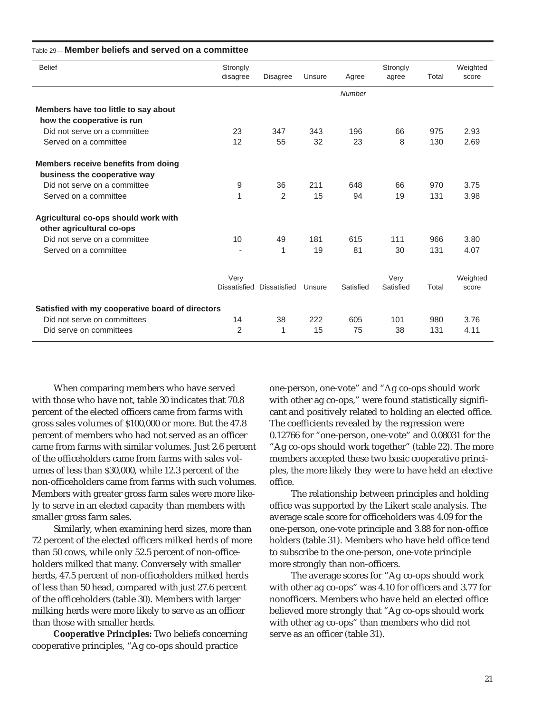| <b>Belief</b>                                    | Strongly<br>disagree | <b>Disagree</b> | Unsure | Agree         | Strongly<br>agree | Total | Weighted<br>score |
|--------------------------------------------------|----------------------|-----------------|--------|---------------|-------------------|-------|-------------------|
|                                                  |                      |                 |        | <b>Number</b> |                   |       |                   |
| Members have too little to say about             |                      |                 |        |               |                   |       |                   |
| how the cooperative is run                       |                      |                 |        |               |                   |       |                   |
| Did not serve on a committee                     | 23                   | 347             | 343    | 196           | 66                | 975   | 2.93              |
| Served on a committee                            | 12                   | 55              | 32     | 23            | 8                 | 130   | 2.69              |
| Members receive benefits from doing              |                      |                 |        |               |                   |       |                   |
| business the cooperative way                     |                      |                 |        |               |                   |       |                   |
| Did not serve on a committee                     | 9                    | 36              | 211    | 648           | 66                | 970   | 3.75              |
| Served on a committee                            | 1                    | 2               | 15     | 94            | 19                | 131   | 3.98              |
| Agricultural co-ops should work with             |                      |                 |        |               |                   |       |                   |
| other agricultural co-ops                        |                      |                 |        |               |                   |       |                   |
| Did not serve on a committee                     | 10                   | 49              | 181    | 615           | 111               | 966   | 3.80              |
| Served on a committee                            |                      | 1               | 19     | 81            | 30                | 131   | 4.07              |
|                                                  | Very                 |                 |        |               | Very              |       | Weighted          |
|                                                  | Dissatisfied         | Dissatisfied    | Unsure | Satisfied     | Satisfied         | Total | score             |
| Satisfied with my cooperative board of directors |                      |                 |        |               |                   |       |                   |
| Did not serve on committees                      | 14                   | 38              | 222    | 605           | 101               | 980   | 3.76              |
| Did serve on committees                          | 2                    | 1               | 15     | 75            | 38                | 131   | 4.11              |

#### Table 29— **Member beliefs and served on a committee**

When comparing members who have served with those who have not, table 30 indicates that 70.8 percent of the elected officers came from farms with gross sales volumes of \$100,000 or more. But the 47.8 percent of members who had not served as an officer came from farms with similar volumes. Just 2.6 percent of the officeholders came from farms with sales volumes of less than \$30,000, while 12.3 percent of the non-officeholders came from farms with such volumes. Members with greater gross farm sales were more likely to serve in an elected capacity than members with smaller gross farm sales.

Similarly, when examining herd sizes, more than 72 percent of the elected officers milked herds of more than 50 cows, while only 52.5 percent of non-officeholders milked that many. Conversely with smaller herds, 47.5 percent of non-officeholders milked herds of less than 50 head, compared with just 27.6 percent of the officeholders (table 30). Members with larger milking herds were more likely to serve as an officer than those with smaller herds.

**Cooperative Principles:** Two beliefs concerning cooperative principles, "Ag co-ops should practice

one-person, one-vote" and "Ag co-ops should work with other ag co-ops," were found statistically significant and positively related to holding an elected office. The coefficients revealed by the regression were 0.12766 for "one-person, one-vote" and 0.08031 for the "Ag co-ops should work together" (table 22). The more members accepted these two basic cooperative principles, the more likely they were to have held an elective office.

The relationship between principles and holding office was supported by the Likert scale analysis. The average scale score for officeholders was 4.09 for the one-person, one-vote principle and 3.88 for non-office holders (table 31). Members who have held office tend to subscribe to the one-person, one-vote principle more strongly than non-officers.

The average scores for "Ag co-ops should work with other ag co-ops" was 4.10 for officers and 3.77 for nonofficers. Members who have held an elected office believed more strongly that "Ag co-ops should work with other ag co-ops" than members who did not serve as an officer (table 31).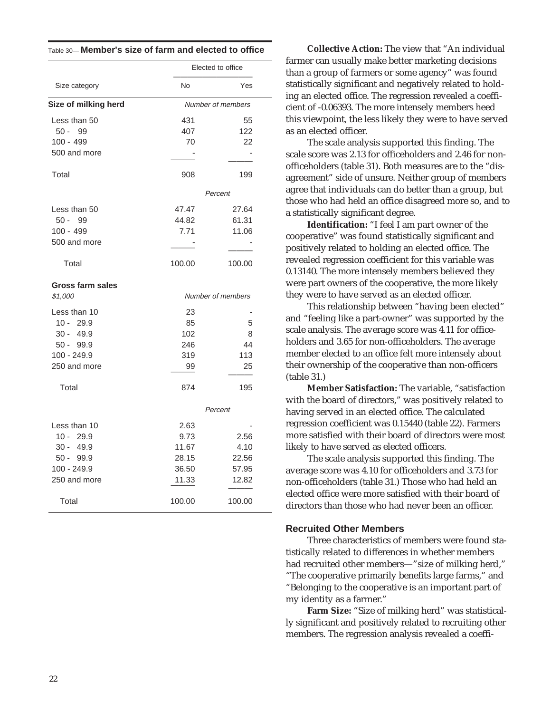|                      | Elected to office |                   |  |  |
|----------------------|-------------------|-------------------|--|--|
| Size category        | No                | Yes               |  |  |
| Size of milking herd | Number of members |                   |  |  |
| Less than 50         | 431               | 55                |  |  |
| $50 -$<br>99         | 407               | 122               |  |  |
| 100 - 499            | 70                | 22                |  |  |
| 500 and more         |                   |                   |  |  |
| Total                | 908               | 199               |  |  |
|                      |                   | Percent           |  |  |
| Less than 50         | 47.47             | 27.64             |  |  |
| 50 -<br>99           | 44.82             | 61.31             |  |  |
| 100 - 499            | 7.71              | 11.06             |  |  |
| 500 and more         |                   |                   |  |  |
| Total                | 100.00            | 100.00            |  |  |
| Gross farm sales     |                   |                   |  |  |
| \$1,000              |                   | Number of members |  |  |
| Less than 10         | 23                | ٠                 |  |  |
| $10 - 29.9$          | 85                | 5                 |  |  |
| $30 - 49.9$          | 102               | 8                 |  |  |
| $50 - 99.9$          | 246               | 44                |  |  |
| $100 - 249.9$        | 319               | 113               |  |  |
| 250 and more         | 99                | 25                |  |  |
| Total                | 874               | 195               |  |  |
|                      |                   | Percent           |  |  |
| Less than 10         | 2.63              |                   |  |  |
| 10 -<br>29.9         | 9.73              | 2.56              |  |  |
| 30 -<br>49.9         | 11.67             | 4.10              |  |  |
| $50 - 99.9$          | 28.15             | 22.56             |  |  |
| $100 - 249.9$        | 36.50             | 57.95             |  |  |
| 250 and more         | 11.33             | 12.82             |  |  |
| Total                | 100.00            | 100.00            |  |  |

Table 30— **Member's size of farm and elected to office**

**Collective Action:** The view that "An individual farmer can usually make better marketing decisions than a group of farmers or some agency" was found statistically significant and negatively related to holding an elected office. The regression revealed a coefficient of -0.06393. The more intensely members heed this viewpoint, the less likely they were to have served as an elected officer.

The scale analysis supported this finding. The scale score was 2.13 for officeholders and 2.46 for nonofficeholders (table 31). Both measures are to the "disagreement" side of unsure. Neither group of members agree that individuals can do better than a group, but those who had held an office disagreed more so, and to a statistically significant degree.

**Identification:** "I feel I am part owner of the cooperative" was found statistically significant and positively related to holding an elected office. The revealed regression coefficient for this variable was 0.13140. The more intensely members believed they were part owners of the cooperative, the more likely they were to have served as an elected officer.

This relationship between "having been elected" and "feeling like a part-owner" was supported by the scale analysis. The average score was 4.11 for officeholders and 3.65 for non-officeholders. The average member elected to an office felt more intensely about their ownership of the cooperative than non-officers (table 31.)

**Member Satisfaction:** The variable, "satisfaction with the board of directors," was positively related to having served in an elected office. The calculated regression coefficient was 0.15440 (table 22). Farmers more satisfied with their board of directors were most likely to have served as elected officers.

The scale analysis supported this finding. The average score was 4.10 for officeholders and 3.73 for non-officeholders (table 31.) Those who had held an elected office were more satisfied with their board of directors than those who had never been an officer.

#### **Recruited Other Members**

Three characteristics of members were found statistically related to differences in whether members had recruited other members—"size of milking herd," "The cooperative primarily benefits large farms," and "Belonging to the cooperative is an important part of my identity as a farmer."

**Farm Size:** "Size of milking herd" was statistically significant and positively related to recruiting other members. The regression analysis revealed a coeffi-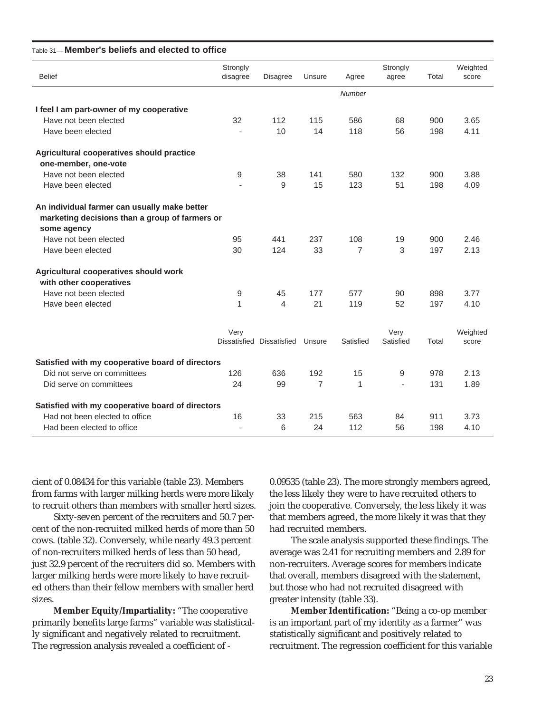| <b>Belief</b>                                                                                                 | Strongly<br>disagree | Disagree                  | Unsure         | Agree          | Strongly<br>agree | Total | Weighted<br>score |
|---------------------------------------------------------------------------------------------------------------|----------------------|---------------------------|----------------|----------------|-------------------|-------|-------------------|
|                                                                                                               |                      |                           |                | Number         |                   |       |                   |
| I feel I am part-owner of my cooperative                                                                      |                      |                           |                |                |                   |       |                   |
| Have not been elected                                                                                         | 32                   | 112                       | 115            | 586            | 68                | 900   | 3.65              |
| Have been elected                                                                                             |                      | 10                        | 14             | 118            | 56                | 198   | 4.11              |
| Agricultural cooperatives should practice                                                                     |                      |                           |                |                |                   |       |                   |
| one-member, one-vote                                                                                          |                      |                           |                |                |                   |       |                   |
| Have not been elected                                                                                         | 9                    | 38                        | 141            | 580            | 132               | 900   | 3.88              |
| Have been elected                                                                                             |                      | 9                         | 15             | 123            | 51                | 198   | 4.09              |
| An individual farmer can usually make better<br>marketing decisions than a group of farmers or<br>some agency |                      |                           |                |                |                   |       |                   |
| Have not been elected                                                                                         | 95                   | 441                       | 237            | 108            | 19                | 900   | 2.46              |
| Have been elected                                                                                             | 30                   | 124                       | 33             | $\overline{7}$ | 3                 | 197   | 2.13              |
| Agricultural cooperatives should work<br>with other cooperatives                                              |                      |                           |                |                |                   |       |                   |
| Have not been elected                                                                                         | 9                    | 45                        | 177            | 577            | 90                | 898   | 3.77              |
| Have been elected                                                                                             | 1                    | $\overline{4}$            | 21             | 119            | 52                | 197   | 4.10              |
|                                                                                                               | Very                 | Dissatisfied Dissatisfied | Unsure         | Satisfied      | Very<br>Satisfied | Total | Weighted<br>score |
| Satisfied with my cooperative board of directors                                                              |                      |                           |                |                |                   |       |                   |
| Did not serve on committees                                                                                   | 126                  | 636                       | 192            | 15             | 9                 | 978   | 2.13              |
| Did serve on committees                                                                                       | 24                   | 99                        | $\overline{7}$ | 1              | ÷,                | 131   | 1.89              |
| Satisfied with my cooperative board of directors                                                              |                      |                           |                |                |                   |       |                   |
| Had not been elected to office                                                                                | 16                   | 33                        | 215            | 563            | 84                | 911   | 3.73              |
| Had been elected to office                                                                                    | $\sim$               | 6                         | 24             | 112            | 56                | 198   | 4.10              |

#### Table 31— **Member's beliefs and elected to office**

cient of 0.08434 for this variable (table 23). Members from farms with larger milking herds were more likely to recruit others than members with smaller herd sizes.

Sixty-seven percent of the recruiters and 50.7 percent of the non-recruited milked herds of more than 50 cows. (table 32). Conversely, while nearly 49.3 percent of non-recruiters milked herds of less than 50 head, just 32.9 percent of the recruiters did so. Members with larger milking herds were more likely to have recruited others than their fellow members with smaller herd sizes.

**Member Equity/Impartiality:** "The cooperative primarily benefits large farms" variable was statistically significant and negatively related to recruitment. The regression analysis revealed a coefficient of -

0.09535 (table 23). The more strongly members agreed, the less likely they were to have recruited others to join the cooperative. Conversely, the less likely it was that members agreed, the more likely it was that they had recruited members.

The scale analysis supported these findings. The average was 2.41 for recruiting members and 2.89 for non-recruiters. Average scores for members indicate that overall, members disagreed with the statement, but those who had not recruited disagreed with greater intensity (table 33).

**Member Identification:** "Being a co-op member is an important part of my identity as a farmer" was statistically significant and positively related to recruitment. The regression coefficient for this variable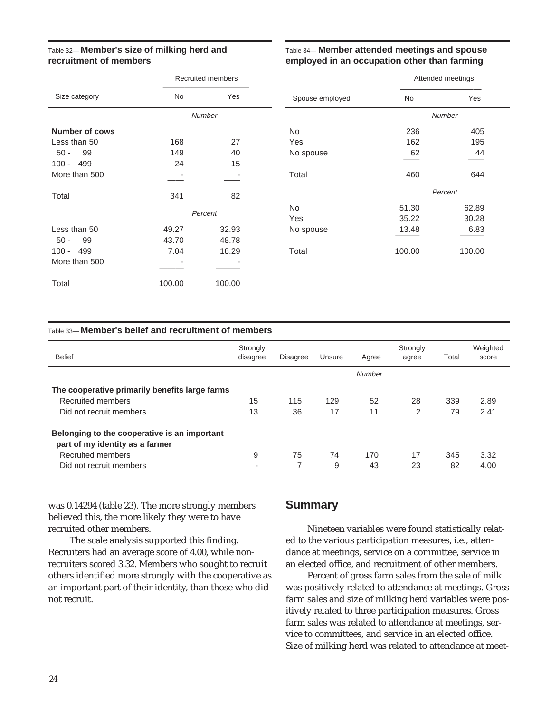#### Table 32— **Member's size of milking herd and recruitment of members**

#### Table 34— **Member attended meetings and spouse employed in an occupation other than farming**

|                       | <b>Recruited members</b> |         |  |  |  |
|-----------------------|--------------------------|---------|--|--|--|
| Size category         | <b>No</b>                | Yes     |  |  |  |
|                       | <b>Number</b>            |         |  |  |  |
| <b>Number of cows</b> |                          |         |  |  |  |
| Less than 50          | 168                      | 27      |  |  |  |
| $50 -$<br>99          | 149                      | 40      |  |  |  |
| $100 - 499$           | 24                       | 15      |  |  |  |
| More than 500         |                          |         |  |  |  |
| Total                 | 341                      | 82      |  |  |  |
|                       |                          | Percent |  |  |  |
| Less than 50          | 49.27                    | 32.93   |  |  |  |
| $50 -$<br>99          | 43.70                    | 48.78   |  |  |  |
| $100 -$<br>- 499      | 7.04                     | 18.29   |  |  |  |
| More than 500         |                          |         |  |  |  |
| Total                 | 100.00                   | 100.00  |  |  |  |

|                 | Attended meetings |        |  |  |
|-----------------|-------------------|--------|--|--|
| Spouse employed | <b>No</b>         | Yes    |  |  |
|                 | <b>Number</b>     |        |  |  |
| <b>No</b>       | 236               | 405    |  |  |
| Yes             | 162               | 195    |  |  |
| No spouse       | 62                | 44     |  |  |
| Total           | 460               | 644    |  |  |
|                 | Percent           |        |  |  |
| <b>No</b>       | 51.30             | 62.89  |  |  |
| Yes             | 35.22             | 30.28  |  |  |
| No spouse       | 13.48             | 6.83   |  |  |
| Total           | 100.00            | 100.00 |  |  |

#### Table 33— **Member's belief and recruitment of members**

| <b>Belief</b>                                  | Strongly<br>disagree     | <b>Disagree</b> | Unsure | Agree  | Strongly<br>agree | Total | Weighted<br>score |
|------------------------------------------------|--------------------------|-----------------|--------|--------|-------------------|-------|-------------------|
|                                                |                          |                 |        | Number |                   |       |                   |
| The cooperative primarily benefits large farms |                          |                 |        |        |                   |       |                   |
| Recruited members                              | 15                       | 115             | 129    | 52     | 28                | 339   | 2.89              |
| Did not recruit members                        | 13                       | 36              | 17     | 11     | 2                 | 79    | 2.41              |
| Belonging to the cooperative is an important   |                          |                 |        |        |                   |       |                   |
| part of my identity as a farmer                |                          |                 |        |        |                   |       |                   |
| Recruited members                              | 9                        | 75              | 74     | 170    | 17                | 345   | 3.32              |
| Did not recruit members                        | $\overline{\phantom{a}}$ | 7               | 9      | 43     | 23                | 82    | 4.00              |

was 0.14294 (table 23). The more strongly members believed this, the more likely they were to have recruited other members.

The scale analysis supported this finding. Recruiters had an average score of 4.00, while nonrecruiters scored 3.32. Members who sought to recruit others identified more strongly with the cooperative as an important part of their identity, than those who did not recruit.

#### **Summary**

Nineteen variables were found statistically related to the various participation measures, i.e., attendance at meetings, service on a committee, service in an elected office, and recruitment of other members.

Percent of gross farm sales from the sale of milk was positively related to attendance at meetings. Gross farm sales and size of milking herd variables were positively related to three participation measures. Gross farm sales was related to attendance at meetings, service to committees, and service in an elected office. Size of milking herd was related to attendance at meet-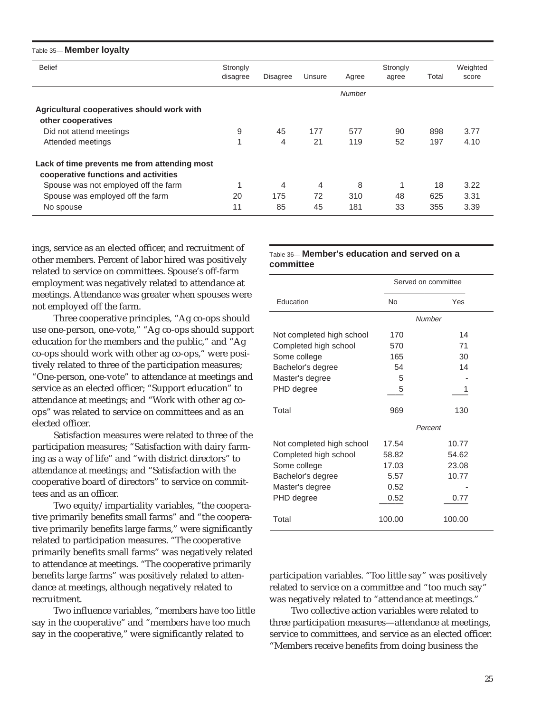| Table 35-Member loyalty                      |                      |                 |        |               |                   |       |                   |
|----------------------------------------------|----------------------|-----------------|--------|---------------|-------------------|-------|-------------------|
| <b>Belief</b>                                | Strongly<br>disagree | <b>Disagree</b> | Unsure | Agree         | Strongly<br>agree | Total | Weighted<br>score |
|                                              |                      |                 |        | <b>Number</b> |                   |       |                   |
| Agricultural cooperatives should work with   |                      |                 |        |               |                   |       |                   |
| other cooperatives                           |                      |                 |        |               |                   |       |                   |
| Did not attend meetings                      | 9                    | 45              | 177    | 577           | 90                | 898   | 3.77              |
| Attended meetings                            | 1                    | 4               | 21     | 119           | 52                | 197   | 4.10              |
| Lack of time prevents me from attending most |                      |                 |        |               |                   |       |                   |
| cooperative functions and activities         |                      |                 |        |               |                   |       |                   |
| Spouse was not employed off the farm         |                      | 4               | 4      | 8             |                   | 18    | 3.22              |
| Spouse was employed off the farm             | 20                   | 175             | 72     | 310           | 48                | 625   | 3.31              |
| No spouse                                    | 11                   | 85              | 45     | 181           | 33                | 355   | 3.39              |

ings, service as an elected officer, and recruitment of other members. Percent of labor hired was positively related to service on committees. Spouse's off-farm employment was negatively related to attendance at meetings. Attendance was greater when spouses were not employed off the farm.

Three cooperative principles, "Ag co-ops should use one-person, one-vote," "Ag co-ops should support education for the members and the public," and "Ag co-ops should work with other ag co-ops," were positively related to three of the participation measures; "One-person, one-vote" to attendance at meetings and service as an elected officer; "Support education" to attendance at meetings; and "Work with other ag coops" was related to service on committees and as an elected officer.

Satisfaction measures were related to three of the participation measures; "Satisfaction with dairy farming as a way of life" and "with district directors" to attendance at meetings; and "Satisfaction with the cooperative board of directors" to service on committees and as an officer.

Two equity/impartiality variables, "the cooperative primarily benefits small farms" and "the cooperative primarily benefits large farms," were significantly related to participation measures. "The cooperative primarily benefits small farms" was negatively related to attendance at meetings. "The cooperative primarily benefits large farms" was positively related to attendance at meetings, although negatively related to recruitment.

Two influence variables, "members have too little say in the cooperative" and "members have too much say in the cooperative," were significantly related to

#### Table 36— **Member's education and served on a committee**

|                           |           | Served on committee |
|---------------------------|-----------|---------------------|
| Education                 | <b>No</b> | Yes                 |
|                           |           | Number              |
| Not completed high school | 170       | 14                  |
| Completed high school     | 570       | 71                  |
| Some college              | 165       | 30                  |
| Bachelor's degree         | 54        | 14                  |
| Master's degree           | 5         |                     |
| PHD degree                | 5         | 1                   |
| Total                     | 969       | 130                 |
|                           |           | Percent             |
| Not completed high school | 17.54     | 10.77               |
| Completed high school     | 58.82     | 54.62               |
| Some college              | 17.03     | 23.08               |
| Bachelor's degree         | 5.57      | 10.77               |
| Master's degree           | 0.52      |                     |
| PHD degree                | 0.52      | 0.77                |
| Total                     | 100.00    | 100.00              |

participation variables. "Too little say" was positively related to service on a committee and "too much say" was negatively related to "attendance at meetings."

Two collective action variables were related to three participation measures—attendance at meetings, service to committees, and service as an elected officer. "Members receive benefits from doing business the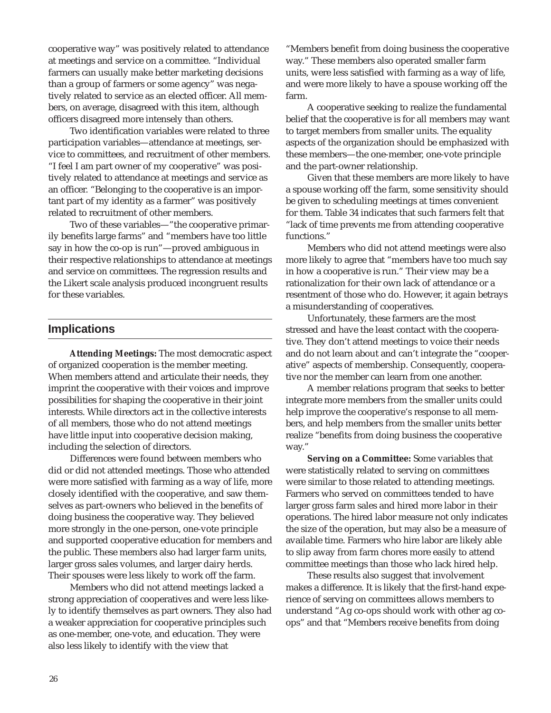cooperative way" was positively related to attendance at meetings and service on a committee. "Individual farmers can usually make better marketing decisions than a group of farmers or some agency" was negatively related to service as an elected officer. All members, on average, disagreed with this item, although officers disagreed more intensely than others.

Two identification variables were related to three participation variables—attendance at meetings, service to committees, and recruitment of other members. "I feel I am part owner of my cooperative" was positively related to attendance at meetings and service as an officer. "Belonging to the cooperative is an important part of my identity as a farmer" was positively related to recruitment of other members.

Two of these variables—"the cooperative primarily benefits large farms" and "members have too little say in how the co-op is run"—proved ambiguous in their respective relationships to attendance at meetings and service on committees. The regression results and the Likert scale analysis produced incongruent results for these variables.

#### **Implications**

**Attending Meetings:** The most democratic aspect of organized cooperation is the member meeting. When members attend and articulate their needs, they imprint the cooperative with their voices and improve possibilities for shaping the cooperative in their joint interests. While directors act in the collective interests of all members, those who do not attend meetings have little input into cooperative decision making, including the selection of directors.

Differences were found between members who did or did not attended meetings. Those who attended were more satisfied with farming as a way of life, more closely identified with the cooperative, and saw themselves as part-owners who believed in the benefits of doing business the cooperative way. They believed more strongly in the one-person, one-vote principle and supported cooperative education for members and the public. These members also had larger farm units, larger gross sales volumes, and larger dairy herds. Their spouses were less likely to work off the farm.

Members who did not attend meetings lacked a strong appreciation of cooperatives and were less likely to identify themselves as part owners. They also had a weaker appreciation for cooperative principles such as one-member, one-vote, and education. They were also less likely to identify with the view that

"Members benefit from doing business the cooperative way." These members also operated smaller farm units, were less satisfied with farming as a way of life, and were more likely to have a spouse working off the farm.

A cooperative seeking to realize the fundamental belief that the cooperative is for all members may want to target members from smaller units. The equality aspects of the organization should be emphasized with these members—the one-member, one-vote principle and the part-owner relationship.

Given that these members are more likely to have a spouse working off the farm, some sensitivity should be given to scheduling meetings at times convenient for them. Table 34 indicates that such farmers felt that "lack of time prevents me from attending cooperative functions."

Members who did not attend meetings were also more likely to agree that "members have too much say in how a cooperative is run." Their view may be a rationalization for their own lack of attendance or a resentment of those who do. However, it again betrays a misunderstanding of cooperatives.

Unfortunately, these farmers are the most stressed and have the least contact with the cooperative. They don't attend meetings to voice their needs and do not learn about and can't integrate the "cooperative" aspects of membership. Consequently, cooperative nor the member can learn from one another.

A member relations program that seeks to better integrate more members from the smaller units could help improve the cooperative's response to all members, and help members from the smaller units better realize "benefits from doing business the cooperative way."

**Serving on a Committee:** Some variables that were statistically related to serving on committees were similar to those related to attending meetings. Farmers who served on committees tended to have larger gross farm sales and hired more labor in their operations. The hired labor measure not only indicates the size of the operation, but may also be a measure of available time. Farmers who hire labor are likely able to slip away from farm chores more easily to attend committee meetings than those who lack hired help.

These results also suggest that involvement makes a difference. It is likely that the first-hand experience of serving on committees allows members to understand "Ag co-ops should work with other ag coops" and that "Members receive benefits from doing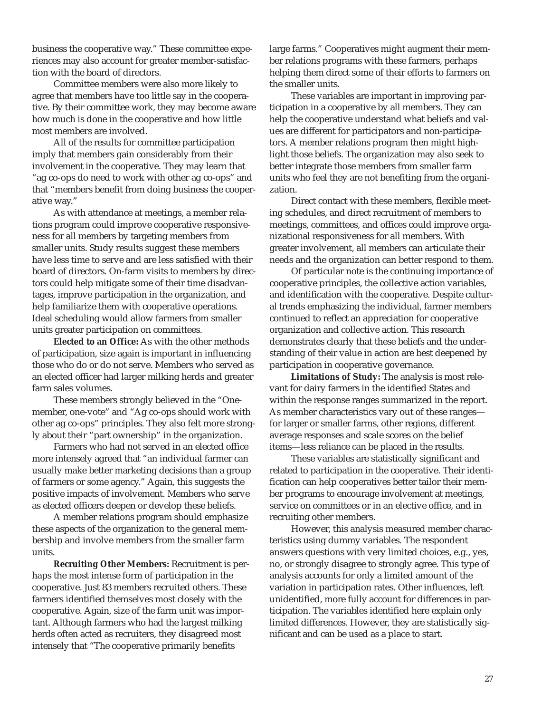business the cooperative way." These committee experiences may also account for greater member-satisfaction with the board of directors.

Committee members were also more likely to agree that members have too little say in the cooperative. By their committee work, they may become aware how much is done in the cooperative and how little most members are involved.

All of the results for committee participation imply that members gain considerably from their involvement in the cooperative. They may learn that "ag co-ops do need to work with other ag co-ops" and that "members benefit from doing business the cooperative way."

As with attendance at meetings, a member relations program could improve cooperative responsiveness for all members by targeting members from smaller units. Study results suggest these members have less time to serve and are less satisfied with their board of directors. On-farm visits to members by directors could help mitigate some of their time disadvantages, improve participation in the organization, and help familiarize them with cooperative operations. Ideal scheduling would allow farmers from smaller units greater participation on committees.

**Elected to an Office:** As with the other methods of participation, size again is important in influencing those who do or do not serve. Members who served as an elected officer had larger milking herds and greater farm sales volumes.

These members strongly believed in the "Onemember, one-vote" and "Ag co-ops should work with other ag co-ops" principles. They also felt more strongly about their "part ownership" in the organization.

Farmers who had not served in an elected office more intensely agreed that "an individual farmer can usually make better marketing decisions than a group of farmers or some agency." Again, this suggests the positive impacts of involvement. Members who serve as elected officers deepen or develop these beliefs.

A member relations program should emphasize these aspects of the organization to the general membership and involve members from the smaller farm units.

**Recruiting Other Members:** Recruitment is perhaps the most intense form of participation in the cooperative. Just 83 members recruited others. These farmers identified themselves most closely with the cooperative. Again, size of the farm unit was important. Although farmers who had the largest milking herds often acted as recruiters, they disagreed most intensely that "The cooperative primarily benefits

large farms." Cooperatives might augment their member relations programs with these farmers, perhaps helping them direct some of their efforts to farmers on the smaller units.

These variables are important in improving participation in a cooperative by all members. They can help the cooperative understand what beliefs and values are different for participators and non-participators. A member relations program then might highlight those beliefs. The organization may also seek to better integrate those members from smaller farm units who feel they are not benefiting from the organization.

Direct contact with these members, flexible meeting schedules, and direct recruitment of members to meetings, committees, and offices could improve organizational responsiveness for all members. With greater involvement, all members can articulate their needs and the organization can better respond to them.

Of particular note is the continuing importance of cooperative principles, the collective action variables, and identification with the cooperative. Despite cultural trends emphasizing the individual, farmer members continued to reflect an appreciation for cooperative organization and collective action. This research demonstrates clearly that these beliefs and the understanding of their value in action are best deepened by participation in cooperative governance.

**Limitations of Study:** The analysis is most relevant for dairy farmers in the identified States and within the response ranges summarized in the report. As member characteristics vary out of these ranges for larger or smaller farms, other regions, different average responses and scale scores on the belief items—less reliance can be placed in the results.

These variables are statistically significant and related to participation in the cooperative. Their identification can help cooperatives better tailor their member programs to encourage involvement at meetings, service on committees or in an elective office, and in recruiting other members.

However, this analysis measured member characteristics using dummy variables. The respondent answers questions with very limited choices, e.g., yes, no, or strongly disagree to strongly agree. This type of analysis accounts for only a limited amount of the variation in participation rates. Other influences, left unidentified, more fully account for differences in participation. The variables identified here explain only limited differences. However, they are statistically significant and can be used as a place to start.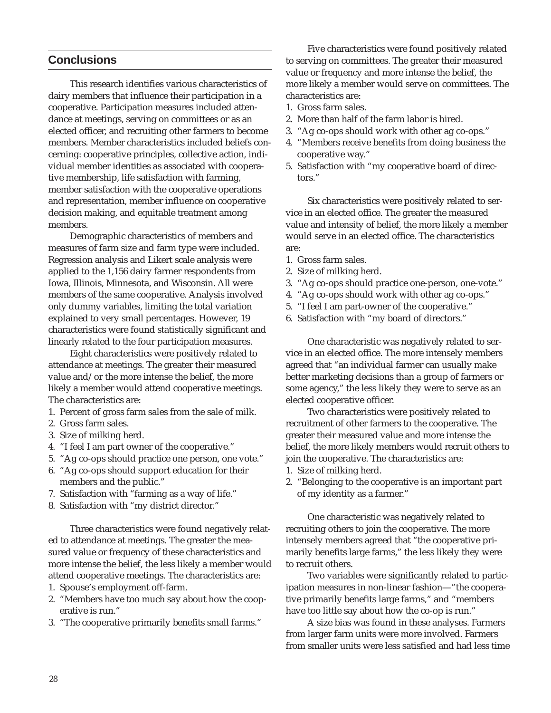#### **Conclusions**

This research identifies various characteristics of dairy members that influence their participation in a cooperative. Participation measures included attendance at meetings, serving on committees or as an elected officer, and recruiting other farmers to become members. Member characteristics included beliefs concerning: cooperative principles, collective action, individual member identities as associated with cooperative membership, life satisfaction with farming, member satisfaction with the cooperative operations and representation, member influence on cooperative decision making, and equitable treatment among members.

Demographic characteristics of members and measures of farm size and farm type were included. Regression analysis and Likert scale analysis were applied to the 1,156 dairy farmer respondents from Iowa, Illinois, Minnesota, and Wisconsin. All were members of the same cooperative. Analysis involved only dummy variables, limiting the total variation explained to very small percentages. However, 19 characteristics were found statistically significant and linearly related to the four participation measures.

Eight characteristics were positively related to attendance at meetings. The greater their measured value and/or the more intense the belief, the more likely a member would attend cooperative meetings. The characteristics are:

- 1. Percent of gross farm sales from the sale of milk.
- 2. Gross farm sales.
- 3. Size of milking herd.
- 4. "I feel I am part owner of the cooperative."
- 5. "Ag co-ops should practice one person, one vote."
- 6. "Ag co-ops should support education for their members and the public."
- 7. Satisfaction with "farming as a way of life."
- 8. Satisfaction with "my district director."

Three characteristics were found negatively related to attendance at meetings. The greater the measured value or frequency of these characteristics and more intense the belief, the less likely a member would attend cooperative meetings. The characteristics are:

- 1. Spouse's employment off-farm.
- 2. "Members have too much say about how the cooperative is run."
- 3. "The cooperative primarily benefits small farms."

Five characteristics were found positively related to serving on committees. The greater their measured value or frequency and more intense the belief, the more likely a member would serve on committees. The characteristics are:

- 1. Gross farm sales.
- 2. More than half of the farm labor is hired.
- 3. "Ag co-ops should work with other ag co-ops."
- 4. "Members receive benefits from doing business the cooperative way."
- 5. Satisfaction with "my cooperative board of directors."

Six characteristics were positively related to service in an elected office. The greater the measured value and intensity of belief, the more likely a member would serve in an elected office. The characteristics are:

- 1. Gross farm sales.
- 2. Size of milking herd.
- 3. "Ag co-ops should practice one-person, one-vote."
- 4. "Ag co-ops should work with other ag co-ops."
- 5. "I feel I am part-owner of the cooperative."
- 6. Satisfaction with "my board of directors."

One characteristic was negatively related to service in an elected office. The more intensely members agreed that "an individual farmer can usually make better marketing decisions than a group of farmers or some agency," the less likely they were to serve as an elected cooperative officer.

Two characteristics were positively related to recruitment of other farmers to the cooperative. The greater their measured value and more intense the belief, the more likely members would recruit others to join the cooperative. The characteristics are:

- 1. Size of milking herd.
- 2. "Belonging to the cooperative is an important part of my identity as a farmer."

One characteristic was negatively related to recruiting others to join the cooperative. The more intensely members agreed that "the cooperative primarily benefits large farms," the less likely they were to recruit others.

Two variables were significantly related to participation measures in non-linear fashion—"the cooperative primarily benefits large farms," and "members have too little say about how the co-op is run."

A size bias was found in these analyses. Farmers from larger farm units were more involved. Farmers from smaller units were less satisfied and had less time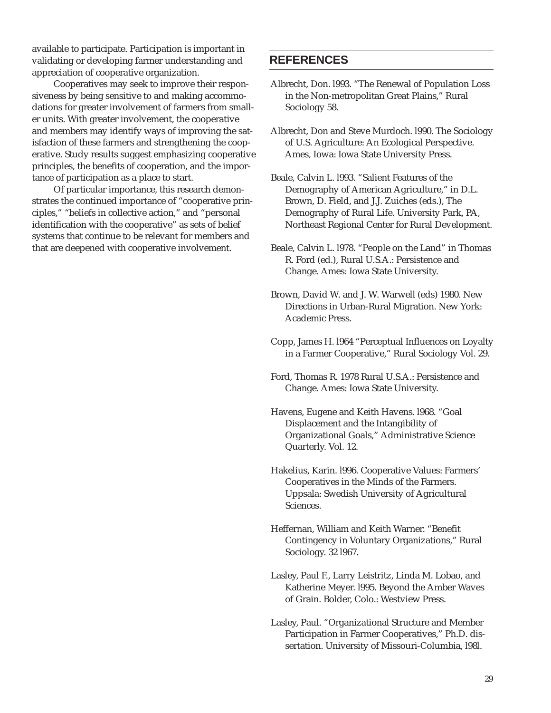available to participate. Participation is important in validating or developing farmer understanding and appreciation of cooperative organization.

Cooperatives may seek to improve their responsiveness by being sensitive to and making accommodations for greater involvement of farmers from smaller units. With greater involvement, the cooperative and members may identify ways of improving the satisfaction of these farmers and strengthening the cooperative. Study results suggest emphasizing cooperative principles, the benefits of cooperation, and the importance of participation as a place to start.

Of particular importance, this research demonstrates the continued importance of "cooperative principles," "beliefs in collective action," and "personal identification with the cooperative" as sets of belief systems that continue to be relevant for members and that are deepened with cooperative involvement.

#### **REFERENCES**

- Albrecht, Don. l993. "The Renewal of Population Loss in the Non-metropolitan Great Plains," Rural Sociology 58.
- Albrecht, Don and Steve Murdoch. l990. The Sociology of U.S. Agriculture: An Ecological Perspective. Ames, Iowa: Iowa State University Press.
- Beale, Calvin L. l993. "Salient Features of the Demography of American Agriculture," in D.L. Brown, D. Field, and J.J. Zuiches (eds.), The Demography of Rural Life. University Park, PA, Northeast Regional Center for Rural Development.
- Beale, Calvin L. l978. "People on the Land" in Thomas R. Ford (ed.), Rural U.S.A.: Persistence and Change. Ames: Iowa State University.
- Brown, David W. and J. W. Warwell (eds) 1980. New Directions in Urban-Rural Migration. New York: Academic Press.
- Copp, James H. l964 "Perceptual Influences on Loyalty in a Farmer Cooperative," Rural Sociology Vol. 29.
- Ford, Thomas R. 1978 Rural U.S.A.: Persistence and Change. Ames: Iowa State University.
- Havens, Eugene and Keith Havens. l968. "Goal Displacement and the Intangibility of Organizational Goals," Administrative Science Quarterly. Vol. 12.
- Hakelius, Karin. l996. Cooperative Values: Farmers' Cooperatives in the Minds of the Farmers. Uppsala: Swedish University of Agricultural Sciences.
- Heffernan, William and Keith Warner. "Benefit Contingency in Voluntary Organizations," Rural Sociology. 32 l967.
- Lasley, Paul F., Larry Leistritz, Linda M. Lobao, and Katherine Meyer. l995. Beyond the Amber Waves of Grain. Bolder, Colo.: Westview Press.
- Lasley, Paul. "Organizational Structure and Member Participation in Farmer Cooperatives," Ph.D. dissertation. University of Missouri-Columbia, l98l.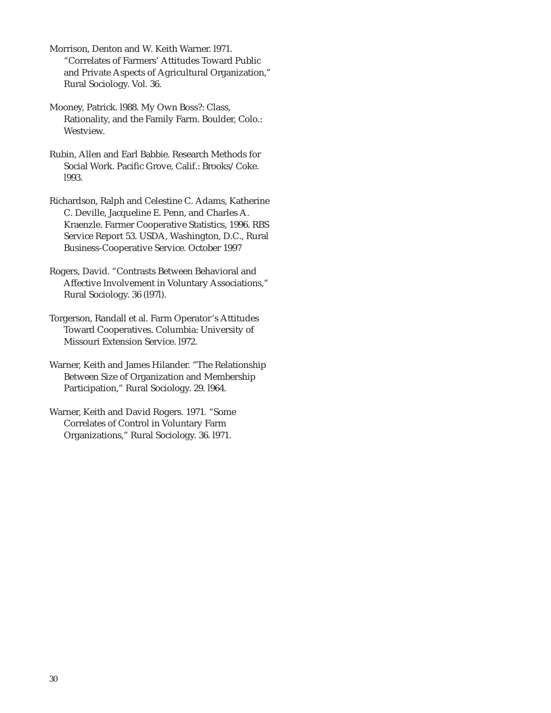Morrison, Denton and W. Keith Warner. l971. "Correlates of Farmers' Attitudes Toward Public and Private Aspects of Agricultural Organization," Rural Sociology. Vol. 36.

- Mooney, Patrick. l988. My Own Boss?: Class, Rationality, and the Family Farm. Boulder, Colo.: Westview.
- Rubin, Allen and Earl Babbie. Research Methods for Social Work. Pacific Grove, Calif.: Brooks/Coke. l993.
- Richardson, Ralph and Celestine C. Adams, Katherine C. Deville, Jacqueline E. Penn, and Charles A. Kraenzle. Farmer Cooperative Statistics, 1996. RBS Service Report 53. USDA, Washington, D.C., Rural Business-Cooperative Service. October 1997
- Rogers, David. "Contrasts Between Behavioral and Affective Involvement in Voluntary Associations," Rural Sociology. 36 (l97l).
- Torgerson, Randall et al. Farm Operator's Attitudes Toward Cooperatives. Columbia: University of Missouri Extension Service. l972.
- Warner, Keith and James Hilander. "The Relationship Between Size of Organization and Membership Participation," Rural Sociology. 29. l964.
- Warner, Keith and David Rogers. 1971. "Some Correlates of Control in Voluntary Farm Organizations," Rural Sociology. 36. l971.